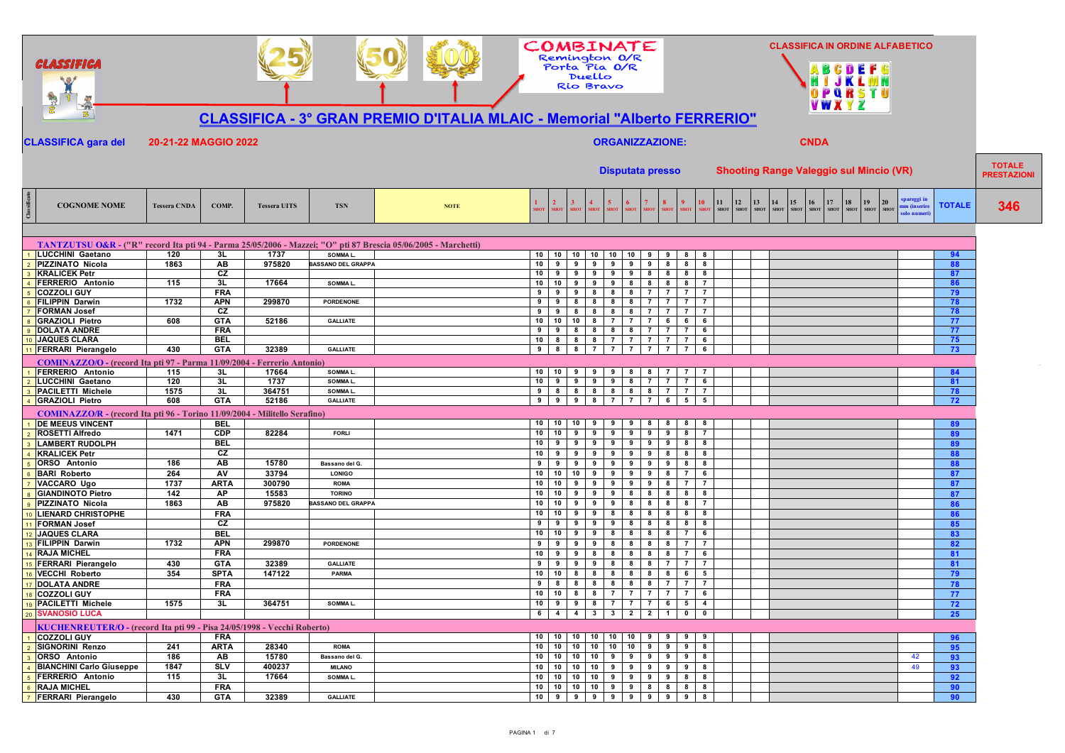|                          | GLASSIFICA                                                                                                                                |                      |                          |                     |                              |                                                                                 | COMBINATE<br>Remington O/R                            | Porta Pia O/R<br>Duello<br>Rio Bravo |                                                         |                                                                      |                     |                                 |                         |                                                                        |                   | OPQRSTU                                | <b>CLASSIFICA IN ORDINE ALFABETICO</b>                         |               |                                     |
|--------------------------|-------------------------------------------------------------------------------------------------------------------------------------------|----------------------|--------------------------|---------------------|------------------------------|---------------------------------------------------------------------------------|-------------------------------------------------------|--------------------------------------|---------------------------------------------------------|----------------------------------------------------------------------|---------------------|---------------------------------|-------------------------|------------------------------------------------------------------------|-------------------|----------------------------------------|----------------------------------------------------------------|---------------|-------------------------------------|
|                          | 3.                                                                                                                                        |                      |                          |                     |                              | <b>CLASSIFICA - 3° GRAN PREMIO D'ITALIA MLAIC - Memorial "Alberto FERRERIO"</b> |                                                       |                                      |                                                         |                                                                      |                     |                                 |                         |                                                                        | <b>VWXYZ</b>      |                                        |                                                                |               |                                     |
|                          | <b>CLASSIFICA gara del</b>                                                                                                                | 20-21-22 MAGGIO 2022 |                          |                     |                              |                                                                                 |                                                       | <b>ORGANIZZAZIONE:</b>               |                                                         |                                                                      |                     |                                 |                         | <b>CNDA</b>                                                            |                   |                                        |                                                                |               |                                     |
|                          |                                                                                                                                           |                      |                          |                     |                              |                                                                                 |                                                       | <b>Disputata presso</b>              |                                                         |                                                                      |                     |                                 |                         | <b>Shooting Range Valeggio sul Mincio (VR)</b>                         |                   |                                        |                                                                |               | <b>TOTALE</b><br><b>PRESTAZIONI</b> |
| Class                    | <b>COGNOME NOME</b>                                                                                                                       | <b>Tessera CNDA</b>  | COMP.                    | <b>Tessera UITS</b> | <b>TSN</b>                   | <b>NOTE</b>                                                                     | $\overline{2}$<br><b>SHOT</b><br><b>SHOT</b><br>SHOT  | <b>HOT</b><br><b>SHOT</b>            | <b>SHOT</b>                                             | 8<br><b>SHOT</b><br><b>SHOT</b>                                      | <b>SHO</b>          | 11<br>12<br>SHOT<br><b>SHOT</b> | 13<br>14<br><b>SHOT</b> | 15<br>16<br>$\boldsymbol{\mathrm{SMOT}}$<br><b>SHOT</b><br><b>SHOT</b> | 17<br><b>SHOT</b> | 18<br>19<br><b>SHOT</b><br><b>SHOT</b> | spareggi in<br>20<br>um (inserire<br><b>SHOT</b><br>olo numeri | <b>TOTALE</b> | 346                                 |
|                          |                                                                                                                                           |                      |                          |                     |                              |                                                                                 |                                                       |                                      |                                                         |                                                                      |                     |                                 |                         |                                                                        |                   |                                        |                                                                |               |                                     |
|                          | TANTZUTSU O&R - ("R" record Ita pti 94 - Parma 25/05/2006 - Mazzei; "O" pti 87 Brescia 05/06/2005 - Marchetti)<br><b>LUCCHINI Gaetano</b> | 120                  | 3L                       | 1737                | SOMMA L.                     |                                                                                 | 10 10 10 10 10                                        |                                      | 10<br>9                                                 | 9<br>8                                                               | -8                  |                                 |                         |                                                                        |                   |                                        |                                                                | 94            |                                     |
| $\overline{\phantom{a}}$ | <b>PIZZINATO Nicola</b>                                                                                                                   | 1863                 | <b>AB</b>                | 975820              | <b>BASSANO DEL GRAPPA</b>    |                                                                                 | $10$ $9$<br>9                                         | 9<br>9                               | 9<br>9                                                  | 8<br>8                                                               | 8                   |                                 |                         |                                                                        |                   |                                        |                                                                | 88            |                                     |
| $\overline{\mathbf{3}}$  | <b>KRALICEK Petr</b>                                                                                                                      |                      | CZ                       |                     |                              |                                                                                 | $10$ 9<br>9 <sup>1</sup>                              | 99                                   | 9<br>8                                                  | 8<br>8                                                               | 8                   |                                 |                         |                                                                        |                   |                                        |                                                                | 87            |                                     |
| $\overline{A}$           | <b>FERRERIO Antonio</b>                                                                                                                   | 115                  | 3L<br><b>FRA</b>         | 17664               | SOMMA L.                     |                                                                                 | $10$ 10<br>9<br>9 <sub>1</sub><br>9<br>9              | 9<br>9<br>8<br>8                     | 8<br>8<br>$\overline{7}$                                | 8<br>8<br>$\overline{7}$<br>$\mathbf{7}$                             |                     |                                 |                         |                                                                        |                   |                                        |                                                                | 86            |                                     |
| 6                        | <b>COZZOLI GUY</b><br><b>FILIPPIN Darwin</b>                                                                                              | 1732                 | <b>APN</b>               | 299870              | PORDENONE                    |                                                                                 | 9 <sub>1</sub><br>9<br>8                              | 8<br>8                               | 8<br>8<br>$\overline{7}$                                | $\overline{7}$<br>$\overline{7}$                                     | $\overline{7}$      |                                 |                         |                                                                        |                   |                                        |                                                                | 79<br>78      |                                     |
| $\overline{7}$           | <b>FORMAN Josef</b>                                                                                                                       |                      | CZ                       |                     |                              |                                                                                 | 9 <sub>1</sub><br>9                                   | 888                                  | 8<br>$\overline{7}$                                     | $\overline{7}$<br>$\overline{7}$                                     |                     |                                 |                         |                                                                        |                   |                                        |                                                                | 78            |                                     |
| $\overline{R}$           | <b>GRAZIOLI Pietro</b>                                                                                                                    | 608                  | <b>GTA</b>               | 52186               | <b>GALLIATE</b>              |                                                                                 | 10   10                                               | $10 \quad 8 \quad 7$                 | $\overline{7}$<br>$\mathbf{7}$                          | 6<br>6                                                               | 6                   |                                 |                         |                                                                        |                   |                                        |                                                                | 77            |                                     |
| $\overline{9}$           | <b>DOLATA ANDRE</b><br>10 JAQUES CLARA                                                                                                    |                      | <b>FRA</b><br><b>BEL</b> |                     |                              |                                                                                 | $9 \mid 9$<br>$10 \t8 \t8 \t8 \t7$                    | 8 8 8                                | 8 <sup>1</sup><br><b>7</b> I<br>- 7 I<br>$\overline{7}$ | $\overline{7}$<br>$\overline{7}$<br>$\overline{7}$<br>$\overline{7}$ | 6<br>6              |                                 |                         |                                                                        |                   |                                        |                                                                | 77<br>75      |                                     |
|                          | 11 FERRARI Pierangelo                                                                                                                     | 430                  | <b>GTA</b>               | 32389               | <b>GALLIATE</b>              |                                                                                 | 9 8 8 7 7                                             |                                      | $\overline{7}$<br><b>7</b> I                            | $\overline{7}$<br>$\overline{7}$                                     | 6                   |                                 |                         |                                                                        |                   |                                        |                                                                | 73            |                                     |
|                          | COMINAZZO/O - (record Ita pti 97 - Parma 11/09/2004 - Ferrerio Antonio)                                                                   |                      |                          |                     |                              |                                                                                 |                                                       |                                      |                                                         |                                                                      |                     |                                 |                         |                                                                        |                   |                                        |                                                                |               |                                     |
|                          | FERRERIO Antonio                                                                                                                          | 115                  | 3L                       | 17664               | SOMMA L.                     |                                                                                 | $10$ $10$ $9$ $9$ $9$                                 |                                      | 8<br>8                                                  | $\overline{7}$<br>$\overline{7}$                                     |                     |                                 |                         |                                                                        |                   |                                        |                                                                | 84            |                                     |
| 2                        | LUCCHINI Gaetano                                                                                                                          | 120                  | 3L                       | 1737                | SOMMA L.                     |                                                                                 | $10 \t9 \t9 \t9 \t9$                                  |                                      | 8 <sub>1</sub>                                          | $\overline{7}$<br>7 7                                                | 6                   |                                 |                         |                                                                        |                   |                                        |                                                                | 81            |                                     |
| $\overline{3}$           | <b>PACILETTI Michele</b>                                                                                                                  | 1575                 | 3L                       | 364751              | SOMMA L.                     |                                                                                 | 9 8 8 8 8                                             |                                      | 8 8 7                                                   | $\overline{7}$                                                       | $\overline{7}$      |                                 |                         |                                                                        |                   |                                        |                                                                | 78            |                                     |
|                          | 4 GRAZIOLI Pietro                                                                                                                         | 608                  | <b>GTA</b>               | 52186               | <b>GALLIATE</b>              |                                                                                 | 9 9 9 8 7                                             |                                      | $\overline{7}$<br>- 7 I                                 | 5 <sup>1</sup><br>6                                                  | 5                   |                                 |                         |                                                                        |                   |                                        |                                                                | 72            |                                     |
|                          | COMINAZZO/R - (record Ita pti 96 - Torino 11/09/2004 - Militello Serafino)<br><b>DE MEEUS VINCENT</b>                                     |                      | <b>BEL</b>               |                     |                              |                                                                                 | $10$ 10<br>10                                         | 9<br>9                               | 8                                                       | 8<br>8                                                               |                     |                                 |                         |                                                                        |                   |                                        |                                                                | 89            |                                     |
| $\overline{\phantom{a}}$ | <b>ROSETTI Alfredo</b>                                                                                                                    | 1471                 | <b>CDP</b>               | 82284               | FORLI                        |                                                                                 | 10 <sup>1</sup><br>10<br>9                            | 9<br>9                               | 9<br>9                                                  | 9<br>8                                                               | $\overline{7}$      |                                 |                         |                                                                        |                   |                                        |                                                                | 89            |                                     |
|                          | <b>LAMBERT RUDOLPH</b>                                                                                                                    |                      | <b>BEL</b>               |                     |                              |                                                                                 | 10 <sup>1</sup><br>9<br>9                             | 9<br>9                               | 9<br>9                                                  | 9<br>8                                                               | 8                   |                                 |                         |                                                                        |                   |                                        |                                                                | 89            |                                     |
| $\overline{4}$           | <b>KRALICEK Petr</b>                                                                                                                      |                      | CZ                       |                     |                              |                                                                                 | $10 \quad 9$<br>9                                     | 9<br>9                               | 9<br>9                                                  | 8<br>8                                                               | 8                   |                                 |                         |                                                                        |                   |                                        |                                                                | 88            |                                     |
|                          | <b>ORSO</b> Antonio                                                                                                                       | 186                  | AB                       | 15780               | Bassano del G.               |                                                                                 | 9<br>9<br>9                                           | 9<br>9                               | 9<br>9                                                  | 8<br>9                                                               | 8                   |                                 |                         |                                                                        |                   |                                        |                                                                | 88            |                                     |
|                          | <b>BARI Roberto</b>                                                                                                                       | 264<br>1737          | AV<br><b>ARTA</b>        | 33794<br>300790     | <b>LONIGO</b>                |                                                                                 | $\frac{1}{10}$   10<br>10<br>10 <sup>1</sup>          | 9<br>9<br>9<br>9                     | 9<br>9                                                  | 8<br>$\overline{7}$                                                  | 6<br>$\overline{7}$ |                                 |                         |                                                                        |                   |                                        |                                                                | 87            |                                     |
| $\overline{7}$           | VACCARO Ugo<br><b>GIANDINOTO Pietro</b>                                                                                                   | 142                  | АP                       | 15583               | <b>ROMA</b><br><b>TORINO</b> |                                                                                 | 10<br>9<br>10<br>$10-1$<br>9                          | 9<br>9                               | 9<br>9<br>8<br>8                                        | 8<br>$\mathbf{7}$<br>8<br>8                                          | 8                   |                                 |                         |                                                                        |                   |                                        |                                                                | 87<br>87      |                                     |
|                          | PIZZINATO Nicola                                                                                                                          | 1863                 | AB                       | 975820              | BASSANO DEL GRAPPA           |                                                                                 | 10<br>10<br>9                                         | 9<br>9                               | 8<br>8                                                  | 8<br>8                                                               | $\overline{7}$      |                                 |                         |                                                                        |                   |                                        |                                                                | 86            |                                     |
| 10                       | <b>LIENARD CHRISTOPHE</b>                                                                                                                 |                      | <b>FRA</b>               |                     |                              |                                                                                 | $10 \quad 10$<br>9                                    | 9<br>8                               | 8<br>8                                                  | 8<br>8                                                               | 8                   |                                 |                         |                                                                        |                   |                                        |                                                                | 86            |                                     |
| 11                       | <b>FORMAN Josef</b>                                                                                                                       |                      | CZ                       |                     |                              |                                                                                 | 9<br>9<br>9                                           | 9 <sup>1</sup><br>9                  | 8<br>8                                                  | 8<br>8                                                               | 8                   |                                 |                         |                                                                        |                   |                                        |                                                                | 85            |                                     |
| 12                       | <b>JAQUES CLARA</b>                                                                                                                       |                      | <b>BEL</b>               |                     | <b>PORDENONE</b>             |                                                                                 | 10 <sub>1</sub><br>10<br>9                            | 9<br>8                               | 8<br>8                                                  | 8<br>$\overline{7}$                                                  | 6                   |                                 |                         |                                                                        |                   |                                        |                                                                | 83            |                                     |
| 14                       | 13 FILIPPIN Darwin<br><b>RAJA MICHEL</b>                                                                                                  | 1732                 | <b>APN</b><br><b>FRA</b> | 299870              |                              |                                                                                 | 9 <sub>1</sub><br>9<br>9<br>10 <sup>1</sup><br>9<br>9 | 9<br>8<br>8<br>8                     | 8<br>8<br>8<br>8                                        | 8<br>$\mathbf{7}$<br>$\overline{7}$<br>8                             | -7<br>6             |                                 |                         |                                                                        |                   |                                        |                                                                | 82<br>81      |                                     |
| 15                       | <b>FERRARI Pierangelo</b>                                                                                                                 | 430                  | <b>GTA</b>               | 32389               | <b>GALLIATE</b>              |                                                                                 | 9<br>9<br>9                                           | 9<br>8                               | 8<br>8                                                  | $\overline{7}$<br>$\overline{7}$                                     | $\overline{7}$      |                                 |                         |                                                                        |                   |                                        |                                                                | 81            |                                     |
| 16                       | <b>VECCHI Roberto</b>                                                                                                                     | 354                  | <b>SPTA</b>              | 147122              | PARMA                        |                                                                                 | $10 \quad 10$<br>8                                    | 8<br>8                               | 8<br>8                                                  | 6<br>8                                                               | 5                   |                                 |                         |                                                                        |                   |                                        |                                                                | 79            |                                     |
|                          | 17 DOLATA ANDRE                                                                                                                           |                      | <b>FRA</b>               |                     |                              |                                                                                 | 9 <sub>1</sub><br>8<br>8                              | $8 \mid 8$                           | 8<br>8 <sup>1</sup>                                     | $\overline{7}$<br>$\overline{7}$                                     | $\overline{7}$      |                                 |                         |                                                                        |                   |                                        |                                                                | 78            |                                     |
|                          | 18 COZZOLI GUY                                                                                                                            |                      | <b>FRA</b>               |                     |                              |                                                                                 | $10$ 10<br>8                                          | 8<br>$\overline{7}$                  | $\overline{7}$<br>$\overline{7}$                        | $\overline{7}$<br>$\overline{7}$                                     | 6                   |                                 |                         |                                                                        |                   |                                        |                                                                | 77            |                                     |
|                          | 19 PACILETTI Michele<br>20 SVANOSIO LUCA                                                                                                  | 1575                 | 3L                       | 364751              | SOMMA L.                     |                                                                                 | $10 \quad 9 \quad 9$<br>6 4 4 3 3 2 2 1 0             | $8$ $1$ $1$ $1$ $1$                  |                                                         | 1514                                                                 | $\bullet$           |                                 |                         |                                                                        |                   |                                        |                                                                | 72<br>25      |                                     |
|                          |                                                                                                                                           |                      |                          |                     |                              |                                                                                 |                                                       |                                      |                                                         |                                                                      |                     |                                 |                         |                                                                        |                   |                                        |                                                                |               |                                     |
|                          | KUCHENREUTER/O - (record Ita pti 99 - Pisa 24/05/1998 - Vecchi Roberto)<br>1 COZZOLI GUY                                                  |                      | <b>FRA</b>               |                     |                              |                                                                                 | 10 10 10 10 10 10 10 9 9 9                            |                                      |                                                         |                                                                      | 9                   |                                 |                         |                                                                        |                   |                                        |                                                                |               |                                     |
|                          | 2 SIGNORINI Renzo                                                                                                                         | 241                  | <b>ARTA</b>              | 28340               | <b>ROMA</b>                  |                                                                                 | $10$   $10$   $10$   $10$   $10$   $10$   $9$   $9$   |                                      |                                                         |                                                                      | 8                   |                                 |                         |                                                                        |                   |                                        |                                                                | 96<br>95      |                                     |
|                          | 3 ORSO Antonio                                                                                                                            | 186                  | AB                       | 15780               | Bassano del G.               |                                                                                 | 10 10 10 10 9 9 9 9 9 9                               |                                      |                                                         |                                                                      | 8                   |                                 |                         |                                                                        |                   |                                        | 42                                                             | 93            |                                     |
|                          | 4 BIANCHINI Carlo Giuseppe                                                                                                                | 1847                 | <b>SLV</b>               | 400237              | <b>MILANO</b>                |                                                                                 | 10 10 10 10 9 9 9 9 9 8                               |                                      |                                                         |                                                                      |                     |                                 |                         |                                                                        |                   |                                        | 49                                                             | 93            |                                     |
|                          | 5 FERRERIO Antonio                                                                                                                        | 115                  | 3L                       | 17664               | SOMMA L.                     |                                                                                 | 10 10 10 10 10 9 9 9 9 8 8                            |                                      |                                                         |                                                                      |                     |                                 |                         |                                                                        |                   |                                        |                                                                | 92            |                                     |
| $6\overline{6}$          | <b>RAJA MICHEL</b><br>7 FERRARI Pierangelo                                                                                                | 430                  | <b>FRA</b><br><b>GTA</b> | 32389               | <b>GALLIATE</b>              |                                                                                 | 10 10 10 10 9 9 8 8 8 8<br>10 9 9 9 9 9 9 9 9 9 8     |                                      |                                                         |                                                                      |                     |                                 |                         |                                                                        |                   |                                        |                                                                | 90<br>90      |                                     |
|                          |                                                                                                                                           |                      |                          |                     |                              |                                                                                 |                                                       |                                      |                                                         |                                                                      |                     |                                 |                         |                                                                        |                   |                                        |                                                                |               |                                     |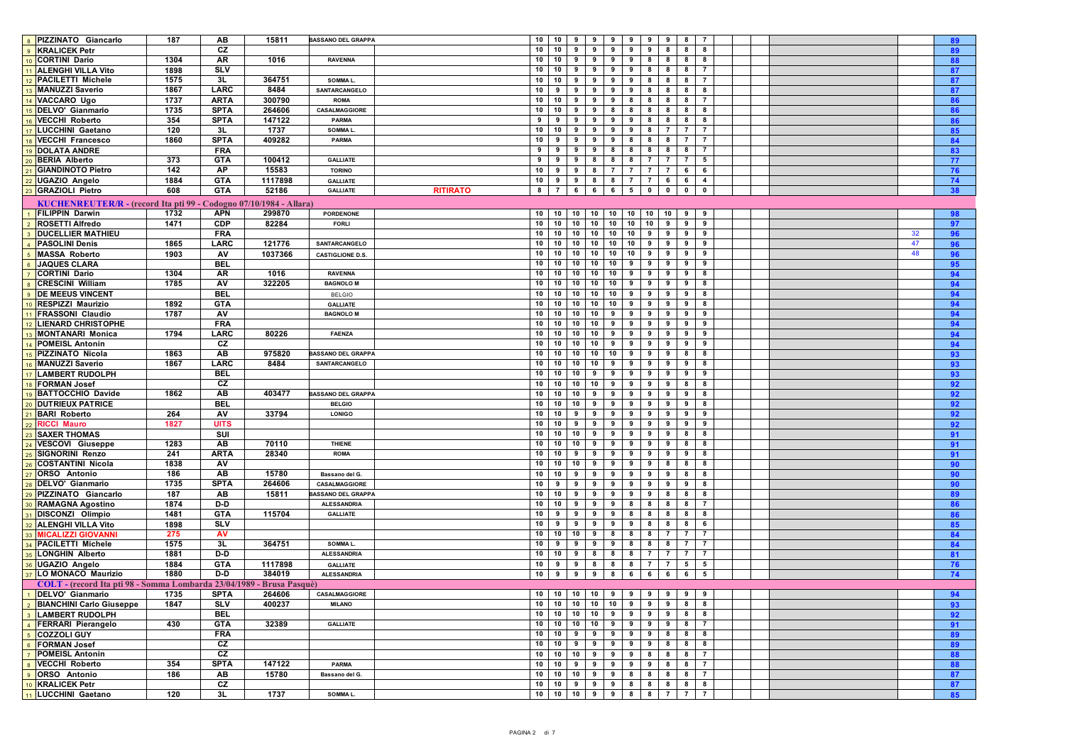| 8 PIZZINATO Giancarlo                                                 | 187  | AB          | 15811   | <b>BASSANO DEL GRAPPA</b>          | $10$ $10$ $9$ $9$<br>9<br>9<br>9<br>9<br>8 7<br>89                                                         |  |
|-----------------------------------------------------------------------|------|-------------|---------|------------------------------------|------------------------------------------------------------------------------------------------------------|--|
| 9 KRALICEK Petr                                                       |      | CZ          |         |                                    | 10<br>10<br>9<br>9<br>9<br>9<br>9<br>8<br>8<br>8<br>89                                                     |  |
| 10 CORTINI Dario                                                      | 1304 | AR          | 1016    | <b>RAVENNA</b>                     | 10<br>10<br>9 <sub>1</sub><br>9<br>9<br>9<br>8<br>8<br>8<br>8<br>88                                        |  |
| 11 ALENGHI VILLA Vito                                                 | 1898 | <b>SLV</b>  |         |                                    | 10<br>10<br>99<br>9<br>9<br>8<br>8<br>8<br>$\overline{7}$<br>87                                            |  |
| 12 PACILETTI Michele                                                  | 1575 | 3L          | 364751  | SOMMA L.                           | 10<br>10<br>9<br>9<br>9<br>8<br>87<br>9<br>8<br>8<br>$\overline{7}$                                        |  |
| 13 MANUZZI Saverio                                                    | 1867 | LARC        | 8484    | SANTARCANGELO                      | 10<br>9<br>9<br>9<br>9<br>8<br>9<br>8<br>8<br>87                                                           |  |
| 14 VACCARO Ugo                                                        | 1737 | <b>ARTA</b> | 300790  | <b>ROMA</b>                        | 86<br>10<br>10<br>9<br>9<br>8<br>8<br>8<br>8<br>$\overline{7}$<br>9                                        |  |
| 15 DELVO' Gianmario                                                   | 1735 | <b>SPTA</b> | 264606  | CASALMAGGIORE                      | 10<br>10<br>86<br>9<br>9<br>8<br>8<br>8<br>8<br>8<br>8                                                     |  |
|                                                                       |      |             |         | PARMA                              | 9<br>9<br>9<br>9<br>9<br>8<br>8<br>8<br>8                                                                  |  |
| 16 VECCHI Roberto                                                     | 354  | <b>SPTA</b> | 147122  |                                    | 9<br>86<br>-7                                                                                              |  |
| 17 LUCCHINI Gaetano                                                   | 120  | 3L          | 1737    | SOMMA L.                           | 85<br>10<br>10<br>9<br>9<br>8<br>$\mathbf{7}$<br>9<br>9                                                    |  |
| 18 VECCHI Francesco                                                   | 1860 | <b>SPTA</b> | 409282  | <b>PARMA</b>                       | 10<br>9<br>84<br>9<br>9<br>9<br>8<br>8<br>8<br>$\overline{7}$<br>$\overline{7}$                            |  |
| 19 DOLATA ANDRE                                                       |      | <b>FRA</b>  |         |                                    | 9<br>8<br>8<br>8<br>8<br>83<br>9<br>9<br>9<br>8<br>$\overline{7}$                                          |  |
| 20 BERIA Alberto                                                      | 373  | <b>GTA</b>  | 100412  | <b>GALLIATE</b>                    | 8<br>5<br>77<br>9<br>9<br>9<br>8<br>8<br>$\overline{7}$<br>$\overline{7}$                                  |  |
| 21 GIANDINOTO Pietro                                                  | 142  | AP          | 15583   | <b>TORINO</b>                      | 6<br>10<br>9<br>9<br>8<br>$\overline{7}$<br>$\overline{7}$<br>$\overline{7}$<br>76<br>$\mathbf{7}$<br>6    |  |
| 22 UGAZIO Angelo                                                      | 1884 | <b>GTA</b>  | 1117898 | <b>GALLIATE</b>                    | 10<br>9<br>$9 \mid 8$<br>8<br>6<br>6<br>74<br>$\overline{7}$<br>$\overline{7}$<br>$\overline{4}$           |  |
| 23 GRAZIOLI Pietro                                                    | 608  | <b>GTA</b>  | 52186   | <b>GALLIATE</b><br><b>RITIRATO</b> | 8<br>6<br>6<br>6<br>5<br>$\mathbf 0$<br>$\mathbf{0}$<br>$\mathbf 0$<br>38<br>$\overline{7}$<br>$\mathbf 0$ |  |
| KUCHENREUTER/R - (record Ita pti 99 - Codogno 07/10/1984 - Allara)    |      |             |         |                                    |                                                                                                            |  |
| 1 FILIPPIN Darwin                                                     | 1732 | <b>APN</b>  | 299870  | PORDENONE                          | 10 10<br>10<br>10<br>10<br>10<br>10<br>10<br>9<br>9<br>98                                                  |  |
| 2 ROSETTI Alfredo                                                     | 1471 | <b>CDP</b>  | 82284   | <b>FORLI</b>                       | 10 <sup>1</sup><br>10<br>10<br>10<br>10<br>10<br>10<br>9<br>9<br>9<br>97                                   |  |
| 3 DUCELLIER MATHIEU                                                   |      | <b>FRA</b>  |         |                                    | 10 10 10 10<br>10 <sup>1</sup><br>10 <sup>1</sup><br>9<br>9<br>9<br>9<br>32<br>96                          |  |
| 4 PASOLINI Denis                                                      | 1865 | LARC        | 121776  | SANTARCANGELO                      | 10<br>10<br>10 10<br>10<br>10<br>9<br>9<br>47<br>96<br>9<br>9                                              |  |
| 5 MASSA Roberto                                                       | 1903 | AV          | 1037366 | <b>CASTIGLIONE D.S</b>             | 10<br>10 10<br>10<br>10<br>10<br>9<br>9<br>9<br>48<br>96<br>9                                              |  |
|                                                                       |      |             |         |                                    | 10<br>10 <sup>1</sup><br>10<br>9<br>9<br>9<br>9<br>9                                                       |  |
| 6 JAQUES CLARA                                                        |      | <b>BEL</b>  |         | <b>RAVENNA</b>                     | 95<br>10<br>9<br>9                                                                                         |  |
| 7 CORTINI Dario                                                       | 1304 | AR          | 1016    |                                    | 10<br>10<br>10<br>10<br>9<br>9<br>8<br>94                                                                  |  |
| 8 CRESCINI William                                                    | 1785 | AV          | 322205  | <b>BAGNOLO M</b>                   | 10<br>10 10<br>10<br>10<br>9<br>9<br>8<br>94<br>9<br>9                                                     |  |
| 9 DE MEEUS VINCENT                                                    |      | <b>BEL</b>  |         | <b>BELGIO</b>                      | 10 10 10 10<br>10 <sup>1</sup><br>9<br>9<br>9<br>9<br>8<br>94                                              |  |
| 10 RESPIZZI Maurizio                                                  | 1892 | <b>GTA</b>  |         | <b>GALLIATE</b>                    | 10<br>10<br>10 10<br>10<br>9<br>9<br>8<br>94<br>9<br>9                                                     |  |
| 11 FRASSONI Claudio                                                   | 1787 | AV          |         | <b>BAGNOLO M</b>                   | 10<br>10<br>$10$ 10<br>9<br>9<br>9<br>9<br>9<br>94<br>9                                                    |  |
| 12 LIENARD CHRISTOPHE                                                 |      | <b>FRA</b>  |         |                                    | 94<br>10<br>10 10 10<br>9<br>9<br>9<br>9<br>9<br>9                                                         |  |
| 13 MONTANARI Monica                                                   | 1794 | LARC        | 80226   | <b>FAENZA</b>                      | 10<br>10<br>10 10<br>94<br>9<br>9<br>9<br>9<br>9<br>9                                                      |  |
| 14 POMEISL Antonin                                                    |      | CZ          |         |                                    | 10<br>10 10 10<br>9<br>94<br>9<br>9<br>9<br>9<br>9                                                         |  |
| 15 PIZZINATO Nicola                                                   | 1863 | AB          | 975820  | <b>BASSANO DEL GRAPPA</b>          | 10<br>10 10 10<br>10 l<br>9<br>9<br>9<br>8<br>8<br>93                                                      |  |
| 16 MANUZZI Saverio                                                    | 1867 | <b>LARC</b> | 8484    | SANTARCANGELO                      | 10<br>$10$ 10<br>10<br>9<br>9<br>9<br>8<br>93<br>9<br>9                                                    |  |
| 17 LAMBERT RUDOLPH                                                    |      | <b>BEL</b>  |         |                                    | 10 10 9<br>10<br>9<br>9<br>9<br>9<br>93<br>9<br>9                                                          |  |
| 18 FORMAN Josef                                                       |      | CZ          |         |                                    | 10<br>10<br>10 <sub>1</sub><br>10<br>9<br>9<br>8<br>92<br>9<br>9<br>8                                      |  |
| 19 BATTOCCHIO Davide                                                  | 1862 | AB          | 403477  | <b>BASSANO DEL GRAPPA</b>          | 10<br>$10 \quad 9$<br>9<br>8<br>10<br>9<br>9<br>9<br>9<br>92                                               |  |
| 20 DUTRIEUX PATRICE                                                   |      | <b>BEL</b>  |         | <b>BELGIO</b>                      | 10<br>10<br>$10 \quad 9$<br>9<br>92<br>9<br>9<br>9<br>9<br>8                                               |  |
| 21 BARI Roberto                                                       | 264  | AV          | 33794   | LONIGO                             | 10<br>10<br>9<br>9<br>92<br>9<br>9<br>9<br>9<br>9<br>9                                                     |  |
| 22 RICCI Mauro                                                        | 1827 | <b>UITS</b> |         |                                    | 10<br>10<br>99<br>9<br>9<br>9<br>9<br>9<br>9<br>92                                                         |  |
| 23 SAXER THOMAS                                                       |      | SUI         |         |                                    | 10 10 9<br>10<br>9<br>9<br>9<br>9<br>8<br>8<br>91                                                          |  |
| 24 VESCOVI Giuseppe                                                   | 1283 | AB          | 70110   | THIENE                             | 10<br>10<br>$10 \quad 9$<br>9<br>9<br>9<br>9<br>8<br>91<br>8                                               |  |
| 25 SIGNORINI Renzo                                                    | 241  | <b>ARTA</b> | 28340   | <b>ROMA</b>                        | 10<br>10<br>9<br>9<br>9<br>9<br>9<br>9<br>9<br>8<br>91                                                     |  |
| 26 COSTANTINI Nicola                                                  | 1838 | AV          |         |                                    | 90<br>10<br>10<br>10<br>9<br>9<br>9<br>8<br>8<br>9<br>8                                                    |  |
| 27 ORSO Antonio                                                       | 186  | AB          | 15780   | Bassano del G.                     | 10<br>10<br>90<br>9<br>9<br>9<br>9<br>9<br>9<br>8<br>8                                                     |  |
| 28 DELVO' Gianmario                                                   | 1735 | <b>SPTA</b> | 264606  | CASALMAGGIORE                      | 10<br>9<br>9 I<br>9<br>9<br>9<br>9<br>9<br>8<br>90<br>9                                                    |  |
| 29 PIZZINATO Giancarlo                                                | 187  | AB          | 15811   | <b>BASSANO DEL GRAPPA</b>          | 10<br>10<br>9<br>9<br>8<br>89<br>9<br>9<br>9<br>8                                                          |  |
|                                                                       | 1874 | D-D         |         |                                    |                                                                                                            |  |
| 30 RAMAGNA Agostino                                                   |      |             |         | <b>ALESSANDRIA</b>                 | 10<br>10<br>9<br>9<br>8<br>8<br>$\overline{7}$<br>86<br>9<br>8<br>8                                        |  |
| 1 DISCONZI Olimpio                                                    | 1481 | <b>GTA</b>  | 115704  | <b>GALLIATE</b>                    | 10<br>9<br>9<br>9<br>9<br>8<br>8<br>8<br>8<br>8<br>86                                                      |  |
| 32 ALENGHI VILLA Vito                                                 | 1898 | <b>SLV</b>  |         |                                    | 10<br>9<br>9<br>9<br>9<br>9<br>8<br>8<br>8<br>6<br>85                                                      |  |
| 33 MICALIZZI GIOVANN                                                  | 275  | <b>AV</b>   |         |                                    | 10<br>10<br>10 9<br>84<br>8<br>8<br>8<br>$\overline{7}$<br>$\overline{7}$<br>$\overline{7}$                |  |
| <b>B4 PACILETTI Michele</b>                                           | 1575 | 3L          | 364751  | SOMMA L.                           | 9 I<br>10<br>9<br>9<br>9<br>8<br>8<br>$\overline{7}$<br>84<br>8<br>$\overline{7}$                          |  |
| 35 LONGHIN Alberto                                                    | 1881 | D-D         |         | <b>ALESSANDRIA</b>                 | 10<br>10<br>9<br>81<br>8<br>8<br>8<br>$\overline{7}$<br>$\mathbf{7}$<br>$\overline{7}$<br>$\overline{7}$   |  |
| <b>86 UGAZIO Angelo</b>                                               | 1884 | <b>GTA</b>  | 1117898 | <b>GALLIATE</b>                    | 9<br>9<br>8<br>8<br>5<br>10<br>8<br>$\overline{7}$<br>$\mathbf{7}$<br>5<br>76                              |  |
| <b>87 LO MONACO Maurizio</b>                                          | 1880 | D-D         | 384019  | <b>ALESSANDRIA</b>                 | 10<br>9<br>9 <sub>1</sub><br>9<br>8<br>6<br>5<br>74<br>6<br>6<br>6                                         |  |
| COLT - (record Ita pti 98 - Somma Lombarda 23/04/1989 - Brusa Pasquè) |      |             |         |                                    |                                                                                                            |  |
| 1 DELVO' Gianmario                                                    | 1735 | SPTA        | 264606  | CASALMAGGIORE                      | 10 10 10 10 9 9<br>$9 \quad 9$<br>9<br>9<br>94                                                             |  |
| 2 BIANCHINI Carlo Giuseppe                                            | 1847 | <b>SLV</b>  | 400237  | <b>MILANO</b>                      | 10 10 10 10 10 10 9 9 9 8 8<br>93                                                                          |  |
| 3 LAMBERT RUDOLPH                                                     |      | <b>BEL</b>  |         |                                    | $10$ $10$ $10$ $10$ $9$ $9$<br>$9$ $9$ $8$ $8$<br>92                                                       |  |
| 4 FERRARI Pierangelo                                                  | 430  | <b>GTA</b>  | 32389   | <b>GALLIATE</b>                    | 10 10 10 10 9<br>$\overline{9}$  <br>9<br>9 <sub>1</sub><br>8<br>$\overline{7}$<br>91                      |  |
| 5 COZZOLI GUY                                                         |      | <b>FRA</b>  |         |                                    | $10$ $10$ $9$ $9$<br>$9 \t9$<br>9<br>8 <sup>1</sup><br>8<br>8<br>89                                        |  |
| 6 FORMAN Josef                                                        |      | CZ          |         |                                    | $10 \t 10 \t 9 \t 9$<br>$9 \mid 9$<br>9 8 8<br>8<br>89                                                     |  |
| 7 POMEISL Antonin                                                     |      | CZ          |         |                                    | $10$ 10 10 9<br>9 <sub>1</sub><br>9<br>8<br>8 <sup>1</sup><br>8<br>88<br>$\overline{7}$                    |  |
| 8 VECCHI Roberto                                                      | 354  | <b>SPTA</b> | 147122  | PARMA                              | $10$ $10$ $9$ $9$<br>9 <sub>1</sub><br>$9 \mid 8$<br>9<br>8 <sup>1</sup><br>$\overline{7}$<br>88           |  |
| 9 ORSO Antonio                                                        | 186  | AB          | 15780   | Bassano del G.                     | $10 \mid 10 \mid 10 \mid 9$<br>$9 \t 8$<br>888<br>$\overline{7}$<br>87                                     |  |
| 10 KRALICEK Petr                                                      |      | CZ          |         |                                    | $10$ $10$ $9$ $9$ $9$ $8$<br>8<br>$8 \mid 8 \mid 8$<br>87                                                  |  |
| 11 LUCCHINI Gaetano                                                   | 120  | 3L          | 1737    | SOMMA L.                           | $10$ $10$ $10$ $9$ $9$ $8$<br>8 7 7 7<br>85                                                                |  |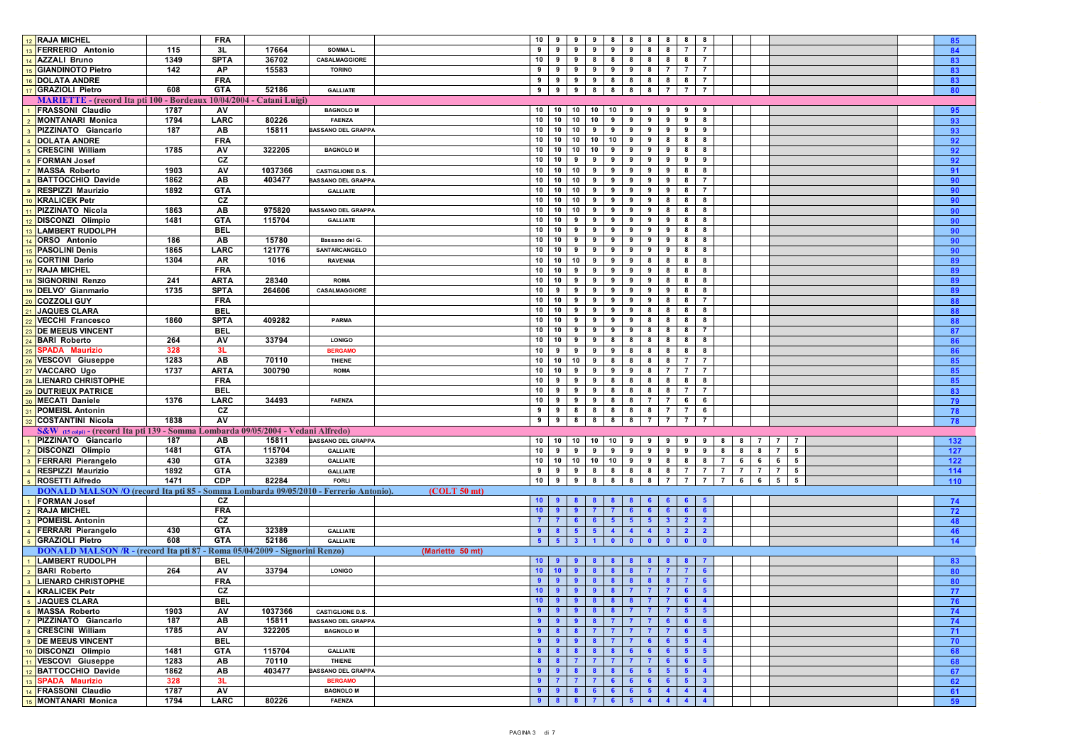| 12 RAJA MICHEL                                                                       |      | <b>FRA</b>  |         |                           | $10$ 9<br>$9 \t9$<br>8<br>8 <sup>1</sup><br>8<br>8<br>88<br>85                                                                                                  |  |
|--------------------------------------------------------------------------------------|------|-------------|---------|---------------------------|-----------------------------------------------------------------------------------------------------------------------------------------------------------------|--|
| 13 FERRERIO Antonio                                                                  | 115  | 3L          | 17664   | SOMMA L.                  | 9<br>9<br>9<br>9<br>9<br>8<br>8<br>$\overline{7}$<br>84<br>9<br>$\overline{7}$                                                                                  |  |
| 14 AZZALI Bruno                                                                      | 1349 | <b>SPTA</b> | 36702   | CASALMAGGIORE             | 10<br>9 I<br>8<br>8<br>9<br>8<br>8<br>8<br>8<br>$\overline{7}$<br>83                                                                                            |  |
| 15 GIANDINOTO Pietro                                                                 | 142  | AP          | 15583   | <b>TORINO</b>             | 9<br>83<br>9<br>9<br>9<br>9<br>9<br>8<br>$\mathbf{7}$<br>$\overline{7}$<br>$\overline{7}$                                                                       |  |
| 16 DOLATA ANDRE                                                                      |      | <b>FRA</b>  |         |                           | 9<br>9<br>99<br>8<br>8<br>8<br>8<br>$\overline{7}$<br>83<br>8                                                                                                   |  |
| 17 GRAZIOLI Pietro                                                                   | 608  | <b>GTA</b>  | 52186   | <b>GALLIATE</b>           | 9 8<br>8<br>8<br>8<br>$\overline{7}$<br>$\overline{7}$<br>9<br>9<br>$\overline{7}$<br>80                                                                        |  |
| <b>MARIETTE</b> - (record Ita pti 100 - Bordeaux 10/04/2004 - Catani Luigi)          |      |             |         |                           |                                                                                                                                                                 |  |
| 1 FRASSONI Claudio                                                                   | 1787 | AV          |         | <b>BAGNOLO M</b>          | 10<br>$10$ 10<br>10<br>10<br>9<br>9<br>9<br>9                                                                                                                   |  |
| 2 MONTANARI Monica                                                                   | 1794 | <b>LARC</b> | 80226   | <b>FAENZA</b>             | 95<br>10 10 10 10<br>9<br>9<br>9<br>9<br>8                                                                                                                      |  |
|                                                                                      |      |             |         |                           | 93<br>9<br>10                                                                                                                                                   |  |
| 3 PIZZINATO Giancarlo                                                                | 187  | AB          | 15811   | <b>BASSANO DEL GRAPPA</b> | 10<br>10 9<br>9<br>9<br>9<br>9<br>9<br>9<br>93                                                                                                                  |  |
| 4 DOLATA ANDRE                                                                       |      | <b>FRA</b>  |         |                           | 10 10 10 10<br>10 <sup>1</sup><br>9<br>9<br>8<br>8<br>8<br>92                                                                                                   |  |
| <b>5</b> CRESCINI William                                                            | 1785 | AV          | 322205  | <b>BAGNOLO M</b>          | 10<br>10 10 10<br>9<br>9<br>9<br>9<br>8<br>8<br>92                                                                                                              |  |
| 6 FORMAN Josef                                                                       |      | CZ          |         |                           | 10<br>10<br>9<br>92<br>9<br>9<br>9<br>9<br>9<br>9<br>9                                                                                                          |  |
| 7 MASSA Roberto                                                                      | 1903 | AV          | 1037366 | <b>CASTIGLIONE D.S.</b>   | 10<br>10<br>$10$ 9<br>9<br>9<br>9<br>9<br>8<br>8<br>91                                                                                                          |  |
| 8 BATTOCCHIO Davide                                                                  | 1862 | AB          | 403477  | <b>BASSANO DEL GRAPPA</b> | 10<br>10<br>$10 \quad 9$<br>9<br>9<br>9<br>90<br>9<br>8<br>$\overline{7}$                                                                                       |  |
| 9 RESPIZZI Maurizio                                                                  | 1892 | <b>GTA</b>  |         | <b>GALLIATE</b>           | 10<br>10<br>10<br>9<br>9<br>9<br>9<br>9<br>$\overline{7}$<br>90<br>8                                                                                            |  |
| 10 KRALICEK Petr                                                                     |      | CZ          |         |                           | 10<br>10<br>$10 \quad 9$<br>9<br>9<br>9<br>8<br>8<br>8<br>90                                                                                                    |  |
| 11 PIZZINATO Nicola                                                                  | 1863 | AB          | 975820  | <b>BASSANO DEL GRAPPA</b> | 10<br>10<br>$10 \quad 9$<br>90<br>9<br>9<br>9<br>8<br>8<br>8                                                                                                    |  |
| 12 DISCONZI Olimpio                                                                  | 1481 | <b>GTA</b>  | 115704  | <b>GALLIATE</b>           | 10<br>10<br>9<br>9<br>9<br>9<br>9<br>9<br>8<br>90<br>-8                                                                                                         |  |
| 13 LAMBERT RUDOLPH                                                                   |      | <b>BEL</b>  |         |                           | 10<br>10<br>$9 \mid 9$<br>9<br>9<br>9<br>9<br>8<br>8<br>90                                                                                                      |  |
| 14 ORSO Antonio                                                                      | 186  | AB          | 15780   | Bassano del G.            | 10<br>10<br>9<br>9<br>9<br>9<br>9<br>9<br>8<br>90<br>8                                                                                                          |  |
| 15 PASOLINI Denis                                                                    | 1865 | LARC        | 121776  | SANTARCANGELO             | 10<br>10<br>9<br>9<br>90<br>9<br>9<br>9<br>9<br>8<br>8                                                                                                          |  |
| 16 CORTINI Dario                                                                     | 1304 | <b>AR</b>   | 1016    | <b>RAVENNA</b>            | 10<br>10 10 9<br>9<br>9<br>8<br>8<br>8<br>8<br>89                                                                                                               |  |
| 17 RAJA MICHEL                                                                       |      | <b>FRA</b>  |         |                           | 10<br>10<br>9<br>9<br>8<br>8<br>89<br>9<br>9<br>9<br>8                                                                                                          |  |
| 18 SIGNORINI Renzo                                                                   | 241  | ARTA        | 28340   | <b>ROMA</b>               | 10<br>99<br>9<br>10<br>9<br>9<br>8<br>8<br>8<br>89                                                                                                              |  |
| 19 DELVO' Gianmario                                                                  | 1735 | <b>SPTA</b> | 264606  | CASALMAGGIORE             | 9<br>10<br>9<br>9<br>9<br>9<br>9<br>9<br>8<br>89<br>8                                                                                                           |  |
| 20 COZZOLI GUY                                                                       |      | <b>FRA</b>  |         |                           | 10<br>88<br>10<br>9<br>9<br>9<br>9<br>9<br>8<br>8<br>$\overline{7}$                                                                                             |  |
| 21 JAQUES CLARA                                                                      |      | <b>BEL</b>  |         |                           | 10<br>10<br>9<br>9<br>9<br>9<br>8<br>8<br>8<br>8<br>88                                                                                                          |  |
| 22 VECCHI Francesco                                                                  | 1860 | <b>SPTA</b> | 409282  | PARMA                     | 10<br>10<br>88<br>9<br>9<br>9<br>9<br>8<br>8<br>8<br>8                                                                                                          |  |
| 23 DE MEEUS VINCENT                                                                  |      | <b>BEL</b>  |         |                           | 10<br>10<br>9<br>9<br>9<br>9<br>8<br>8<br>$\overline{7}$<br>87<br>8                                                                                             |  |
| 24 BARI Roberto                                                                      | 264  | AV          | 33794   | <b>LONIGO</b>             | 10<br>10<br>9<br>9<br>8<br>8<br>8<br>8<br>8<br>8<br>86                                                                                                          |  |
| 25 SPADA Maurizio                                                                    | 328  | 3L          |         | <b>BERGAMO</b>            | 10<br>86<br>9<br>9<br>9<br>8<br>8<br>8<br>8<br>9<br>8                                                                                                           |  |
| 26 VESCOVI Giuseppe                                                                  | 1283 | AB          | 70110   | THIENE                    | 10<br>10<br>10 9<br>8<br>8<br>8<br>8<br>$\overline{7}$<br>$\overline{7}$<br>85                                                                                  |  |
|                                                                                      | 1737 | <b>ARTA</b> | 300790  | <b>ROMA</b>               | 10 10<br>99<br>9<br>9<br>8<br>$\mathbf{7}$<br>$\overline{7}$                                                                                                    |  |
| 27 VACCARO Ugo<br>28 LIENARD CHRISTOPHE                                              |      |             |         |                           | 85<br>10<br>9<br>8<br>8<br>9<br>9<br>8<br>8<br>-8                                                                                                               |  |
|                                                                                      |      | <b>FRA</b>  |         |                           | 85<br>8                                                                                                                                                         |  |
| 29 DUTRIEUX PATRICE                                                                  |      | <b>BEL</b>  |         |                           | 10<br>9<br>9<br>9<br>8<br>8<br>8<br>83<br>8<br>$\overline{7}$<br>$\overline{7}$                                                                                 |  |
| <b>80 MECATI Daniele</b>                                                             | 1376 | LARC        | 34493   | <b>FAENZA</b>             | 10<br>9 I<br>$\overline{7}$<br>6<br>9<br>9<br>8<br>8<br>$\overline{7}$<br>6<br>79                                                                               |  |
| 31 POMEISL Antonin                                                                   |      | CZ          |         |                           | 78<br>9<br>9<br>8<br>8<br>8<br>8<br>8<br>$\overline{7}$<br>$\overline{7}$<br>6                                                                                  |  |
| 32 COSTANTINI Nicola                                                                 | 1838 | AV          |         |                           | 8<br>9<br>9<br>8<br>8<br>8<br>78                                                                                                                                |  |
| S&W (15 colpi) - (record Ita pti 139 - Somma Lombarda 09/05/2004 - Vedani Alfredo)   |      |             |         |                           |                                                                                                                                                                 |  |
| 1 PIZZINATO Giancarlo                                                                | 187  | AB          | 15811   | <b>BASSANO DEL GRAPPA</b> | 10 10<br>10 10<br>10<br>132<br>9<br>9<br>9<br>9<br>9<br>8<br>$\overline{7}$<br>$\mathbf{7}$<br>7                                                                |  |
| 2 DISCONZI Olimpio                                                                   | 1481 | <b>GTA</b>  | 115704  | <b>GALLIATE</b>           | $10 \quad 9$<br>9<br>9<br>9<br>9<br>9<br>9<br>9<br>9<br>8<br>8<br>8<br>7<br>5<br>127                                                                            |  |
| 3 FERRARI Pierangelo                                                                 | 430  | <b>GTA</b>  | 32389   | <b>GALLIATE</b>           | 122<br>10 10 10 10<br>10 <sup>1</sup><br>8<br>8<br>8<br>$\overline{7}$<br>5<br>9<br>9<br>6<br>6<br>6                                                            |  |
| 4 RESPIZZI Maurizio                                                                  | 1892 | <b>GTA</b>  |         | <b>GALLIATE</b>           | 9<br>9<br>8<br>5<br>114<br>9<br>8<br>8<br>8<br>8<br>$\overline{7}$<br>$\overline{7}$<br>$\overline{7}$<br>$\overline{7}$<br>$\overline{7}$<br>$\overline{7}$    |  |
| 5 ROSETTI Alfredo                                                                    | 1471 | <b>CDP</b>  | 82284   | <b>FORLI</b>              | 10 <sup>1</sup><br>110<br>9<br>9<br>8<br>8<br>8<br>8<br>$\overline{7}$<br>$\overline{7}$<br>6<br>6<br>5<br>5                                                    |  |
| DONALD MALSON /O (record Ita pti 85 - Somma Lombarda 09/05/2010 - Ferrerio Antonio). |      |             |         | $(COLT 50$ mt)            |                                                                                                                                                                 |  |
| 1 FORMAN Josef                                                                       |      | CZ          |         |                           | 10 <sup>1</sup><br>74                                                                                                                                           |  |
| 2 RAJA MICHEL                                                                        |      | <b>FRA</b>  |         |                           | 10 <sub>1</sub><br>72<br>-9<br>$6^{\circ}$<br>6<br>- 6                                                                                                          |  |
| 3 POMEISL Antonin                                                                    |      | CZ          |         |                           | 5 <sup>1</sup><br>5 <sub>5</sub><br>48<br>6<br>-5<br>3<br>$\overline{\mathbf{2}}$                                                                               |  |
| 4 FERRARI Pierangelo                                                                 | 430  | <b>GTA</b>  | 32389   | <b>GALLIATE</b>           | 46<br>5 <sub>5</sub><br>$\overline{4}$<br>$\overline{4}$<br>$\overline{4}$<br>$\overline{2}$<br>9<br>-8<br>5<br>$\mathbf{3}$<br>$\mathbf{2}$                    |  |
| 5 GRAZIOLI Pietro                                                                    | 608  | <b>GTA</b>  | 52186   | <b>GALLIATE</b>           | 14<br>5<br>-5.<br>$\mathbf{0}$                                                                                                                                  |  |
| DONALD MALSON /R - (record Ita pti 87 - Roma 05/04/2009 - Signorini Renzo)           |      |             |         | (Mariette 50 mt)          |                                                                                                                                                                 |  |
| 1 LAMBERT RUDOLPH                                                                    |      | <b>BEL</b>  |         |                           | 83<br>10 <sub>1</sub>                                                                                                                                           |  |
| 2 BARI Roberto                                                                       | 264  | AV          | 33794   | <b>LONIGO</b>             | 80<br>10 <sub>1</sub><br>10 <sub>1</sub><br>$8^{\circ}$<br>$\mathbf{7}$<br>$\overline{7}$<br>- 6                                                                |  |
| 3 LIENARD CHRISTOPHE                                                                 |      | <b>FRA</b>  |         |                           | 80<br>8<br>9<br>9<br>9<br>8<br>$\mathbf{8}$<br>$8^{\circ}$<br>6                                                                                                 |  |
| 4 KRALICEK Petr                                                                      |      | CZ          |         |                           | 10 <sub>1</sub><br>8 <sup>1</sup><br>$\overline{7}$<br>9<br>9<br>9<br>$\mathbf{7}$<br>-77                                                                       |  |
| 5 JAQUES CLARA                                                                       |      | <b>BEL</b>  |         |                           | 10<br>$9 \t9 \t8$<br>$\overline{\mathbf{8}}$<br>$8 \mid 7 \mid 7$<br>. .<br>70                                                                                  |  |
| 6 MASSA Roberto                                                                      | 1903 | AV          | 1037366 | <b>CASTIGLIONE D.S.</b>   | 9 8 8 7<br>9 <sup>1</sup><br>$7 \mid 7$<br>$-5$<br>5 <sub>5</sub><br>74<br>-9                                                                                   |  |
| 7 PIZZINATO Giancarlo                                                                | 187  | AB          | 15811   | <b>BASSANO DEL GRAPPA</b> | 7 <sup>7</sup><br>$\overline{7}$<br>6 <sup>1</sup><br>74<br>$9^{\circ}$<br>9<br>-9<br>$\mathbf{8}$<br>$\mathbf{7}$<br>6 <sup>1</sup><br>6                       |  |
| 8 CRESCINI William                                                                   | 1785 | AV          | 322205  | <b>BAGNOLO M</b>          | $\overline{7}$<br>71<br>$\mathbf{9}$<br>$\overline{\mathbf{8}}$<br>$\overline{\mathbf{8}}$<br>$\overline{7}$<br>$\overline{7}$<br>$\overline{7}$<br>$5^{\circ}$ |  |
| <b>9</b> DE MEEUS VINCENT                                                            |      | <b>BEL</b>  |         |                           | 998<br>$6 \t 6$<br>70<br>$\overline{7}$<br>$\overline{7}$<br>$\overline{4}$<br>9<br>5                                                                           |  |
| 10 DISCONZI Olimpio                                                                  | 1481 | <b>GTA</b>  | 115704  | <b>GALLIATE</b>           | 8 <sup>1</sup><br>68<br>8 8 8<br>6 <sup>1</sup><br>6 <sup>1</sup><br>6 <sup>1</sup><br>5 <sub>1</sub><br>5 <sub>1</sub>                                         |  |
| 11 VESCOVI Giuseppe                                                                  | 1283 | AB          | 70110   | THIENE                    | 68<br>8<br>$\overline{\mathbf{8}}$<br>$\overline{7}$<br>$\overline{7}$<br>$\mathbf{7}$<br>$\overline{7}$<br>7 <sup>7</sup><br>$6^{\circ}$<br>5 <sub>1</sub>     |  |
| 12 BATTOCCHIO Davide                                                                 | 1862 | AB          | 403477  | <b>BASSANO DEL GRAPPA</b> | $\overline{4}$<br>-9<br>8 <sub>1</sub><br>$\overline{\mathbf{8}}$<br>6 <sup>1</sup><br>$5 \mid 5$<br>67<br>9<br>$\mathbf{8}$<br>5.                              |  |
| 13 SPADA Maurizio                                                                    | 328  | 3L          |         | <b>BERGAMO</b>            | 6 <sup>1</sup><br>62<br>9<br>$\mathbf{7}$<br>7 7<br>6<br>6 <sup>1</sup><br>$-6$<br>5 <sub>1</sub><br>$\mathbf{3}$                                               |  |
| 14 FRASSONI Claudio                                                                  | 1787 | AV          |         | <b>BAGNOLO M</b>          | 5 <sub>1</sub><br>$\overline{4}$<br>$\overline{4}$<br>61<br>-9<br>- 9 -<br>8 <sup>1</sup><br>$6^{\circ}$<br>6 <sup>1</sup><br>$6^{\circ}$<br>$\overline{4}$     |  |
| 15 MONTANARI Monica                                                                  | 1794 | LARC        | 80226   | <b>FAENZA</b>             | $8 \mid 7$<br>6 <sup>1</sup><br>5 <sub>1</sub><br>4 <sup>1</sup><br>$\overline{4}$<br>$\overline{4}$<br>$9 \t 8$<br>$\overline{4}$<br>59                        |  |
|                                                                                      |      |             |         |                           |                                                                                                                                                                 |  |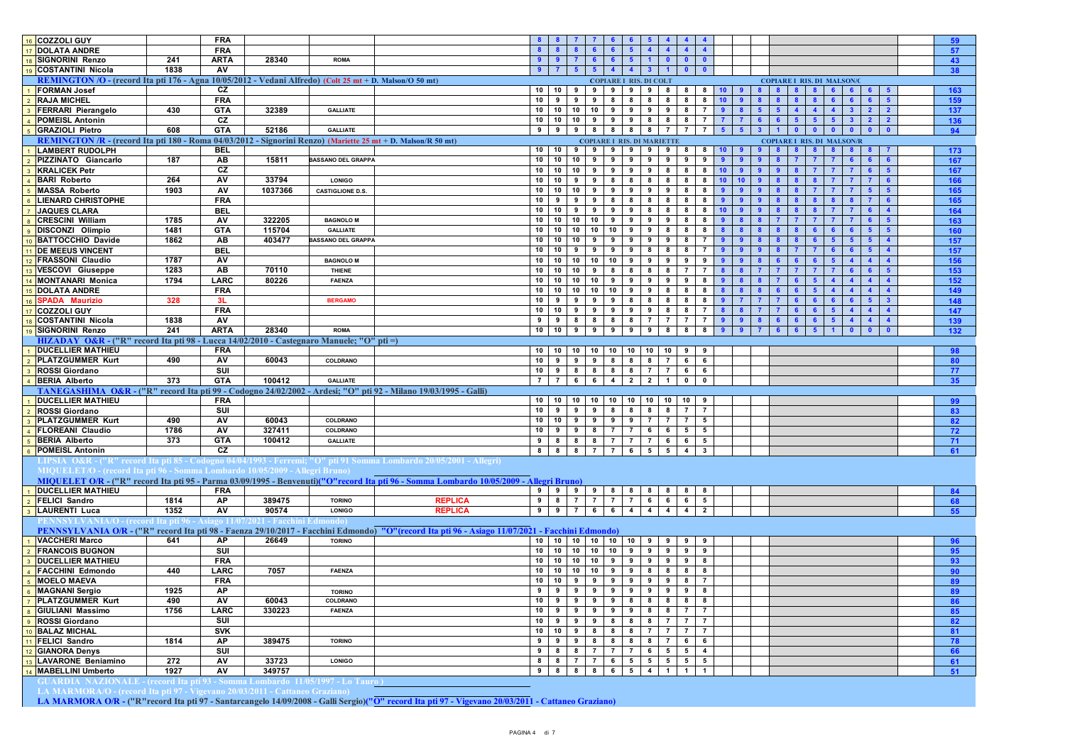| 16 COZZOLI GUY                                                                                               |      | <b>FRA</b>  |                                        |                           |                                                                                                                                                                                                                  |     |
|--------------------------------------------------------------------------------------------------------------|------|-------------|----------------------------------------|---------------------------|------------------------------------------------------------------------------------------------------------------------------------------------------------------------------------------------------------------|-----|
| 17 DOLATA ANDRE                                                                                              |      | <b>FRA</b>  |                                        |                           | $\overline{4}$<br>8<br>6<br>6<br>$\overline{4}$<br>$\blacktriangle$<br>-8                                                                                                                                        |     |
|                                                                                                              |      |             |                                        |                           | 9<br>$\overline{7}$                                                                                                                                                                                              | 57  |
| 18 SIGNORINI Renzo                                                                                           | 241  | <b>ARTA</b> | 28340                                  | <b>ROMA</b>               | $\overline{9}$<br>6 <sub>1</sub><br>6 <sup>6</sup><br>$1$ 0<br>$\bullet$<br>$\bullet$<br>5 <sup>5</sup>                                                                                                          | 43  |
| <b>9</b> COSTANTINI Nicola                                                                                   | 1838 | AV          |                                        |                           | $\overline{4}$<br>$\overline{7}$<br>5 <sup>1</sup><br>$\overline{4}$<br>3 <sup>1</sup><br>$\blacksquare$<br>$\mathbf{0}$<br>9                                                                                    | 38  |
| REMINGTON /O - (record Ita pti 176 - Agna 10/05/2012 - Vedani Alfredo) (Colt 25 mt + D. Malson/O 50 mt)      |      |             |                                        |                           | <b>COPIARE I RIS. DI COLT</b><br><b>COPIARE I RIS. DI MALSON/C</b>                                                                                                                                               |     |
| <b>FORMAN Josef</b>                                                                                          |      | CZ          |                                        |                           | 10 10 9<br>$9 \t9 \t9$<br>$9 \mid 8$<br>8<br>$8 \mid 10$<br>-9<br>8<br>8<br>$\mathbf{R}$<br>-6<br>6<br>6                                                                                                         | 163 |
| <b>RAJA MICHEL</b>                                                                                           |      | <b>FRA</b>  |                                        |                           | 10<br>9<br>$8 \mid 8$<br>8<br>$8 \quad 10$<br>9<br>9<br>8 <sup>1</sup><br>8<br>9 <sup>1</sup>                                                                                                                    | 159 |
| <b>FERRARI Pierangelo</b>                                                                                    | 430  | <b>GTA</b>  | 32389                                  | <b>GALLIATE</b>           | 10<br>10 10 10<br>9<br>9<br>9<br>8<br>$\overline{7}$<br>9<br>9<br>8<br>$5\phantom{1}$<br>$\Delta$<br>3 <sup>1</sup><br>$\overline{2}$<br>$\overline{\mathbf{2}}$                                                 | 137 |
| <b>POMEISL Antonin</b>                                                                                       |      | cz          |                                        |                           | 10<br>10 10<br>9<br>9<br>9<br>8<br>8<br>8<br>$\overline{7}$<br>$\overline{7}$<br>$\overline{7}$<br>$6\phantom{1}6$<br>$5\phantom{1}$<br>3 <sup>1</sup><br>$\overline{\mathbf{2}}$<br>$6^{\circ}$<br>$\mathbf{2}$ | 136 |
| 5 GRAZIOLI Pietro                                                                                            | 608  | <b>GTA</b>  | 52186                                  | <b>GALLIATE</b>           | 9<br>9<br>9 8 8 8<br>8 7<br>$\overline{7}$<br>7 <sup>1</sup><br>$5^{\circ}$<br>5.<br>3 <sup>1</sup><br>$\bullet$<br>$\mathbf{0}$<br>$\bullet$<br>$\bullet$                                                       |     |
|                                                                                                              |      |             |                                        |                           |                                                                                                                                                                                                                  | 94  |
| REMINGTON /R - (record Ita pti 180 - Roma 04/03/2012 - Signorini Renzo) (Mariette 25 mt + D. Malson/R 50 mt) |      |             |                                        |                           | <b>COPIARE I RIS. DI MARIETTE</b><br><b>COPIARE I RIS. DI MALSON/R</b>                                                                                                                                           |     |
| <b>LAMBERT RUDOLPH</b>                                                                                       |      | <b>BEL</b>  |                                        |                           | 10<br>10 I<br>9<br>$9 \mid 9$<br>9<br>99<br>8<br>$8 \quad 10$                                                                                                                                                    | 173 |
| PIZZINATO Giancarlo                                                                                          | 187  | AB          | 15811                                  | <b>BASSANO DEL GRAPPA</b> | 10<br>10 <sup>1</sup><br>10 <sup>1</sup><br>9<br>9<br>9<br>$\overline{9}$<br>9<br>9<br>9<br>$\mathbf{a}$<br>$\mathbf{a}$                                                                                         | 167 |
| <b>KRALICEK Petr</b>                                                                                         |      | CZ          |                                        |                           | 10<br>10<br>10 I<br>9<br>9<br>9<br>$9 \mid 8$<br>$8 \quad 10$<br>8<br>9                                                                                                                                          | 167 |
| <b>BARI</b> Roberto                                                                                          | 264  | AV          | 33794                                  | <b>LONIGO</b>             | 10<br>10 l<br>9<br>8<br>8 8<br>8<br>8<br>10<br>9<br>8<br>10                                                                                                                                                      | 166 |
| <b>MASSA Roberto</b>                                                                                         | 1903 | AV          | 1037366                                | <b>CASTIGLIONE D.S.</b>   | 10<br>10 <sup>1</sup><br>9<br>10 I<br>9<br>9<br>9 <sup>1</sup><br>9<br>8<br>8<br>9                                                                                                                               | 165 |
| <b>LIENARD CHRISTOPHE</b>                                                                                    |      | <b>FRA</b>  |                                        |                           | 10<br>9<br>8<br>8<br>9<br>9<br>- 8<br>8<br>8<br>8                                                                                                                                                                | 165 |
|                                                                                                              |      |             |                                        |                           |                                                                                                                                                                                                                  |     |
| 7 JAQUES CLARA                                                                                               |      | <b>BEL</b>  |                                        |                           | 10<br>10<br>9<br>9<br>9<br>9<br>8<br>8<br>8<br>8<br>10                                                                                                                                                           | 164 |
| 8 CRESCINI William                                                                                           | 1785 | AV          | 322205                                 | <b>BAGNOLO M</b>          | 10<br>10 10 10<br>9<br>9<br>9<br>9<br>8<br>8<br>8                                                                                                                                                                | 163 |
| 9 DISCONZI Olimpio                                                                                           | 1481 | <b>GTA</b>  | 115704                                 | <b>GALLIATE</b>           | 10 10<br>10<br>10<br>10<br>9<br>9<br>8<br>8<br>8<br>8<br>8<br>6                                                                                                                                                  | 160 |
| 10 BATTOCCHIO Davide                                                                                         | 1862 | AB          | 403477                                 | <b>BASSANO DEL GRAPPA</b> | 10<br>10 l<br>10<br>9<br>9<br>9 I<br>9<br>9<br>8<br>$\overline{7}$<br>9<br>$9^{\circ}$<br>$5\phantom{1}$                                                                                                         | 157 |
| 11 DE MEEUS VINCENT                                                                                          |      | <b>BEL</b>  |                                        |                           | 10<br>10<br>9<br>9<br>8<br>8<br>-9<br>-9<br>8<br>$\overline{7}$                                                                                                                                                  | 157 |
| <b>FRASSONI Claudio</b>                                                                                      | 1787 | AV          |                                        | <b>BAGNOLO M</b>          | 10<br>$10$ 10<br>10<br>10<br>9<br>9<br>- 9<br>9<br>9<br>9                                                                                                                                                        | 156 |
| 13 VESCOVI Giuseppe                                                                                          | 1283 | AB          | 70110                                  | THIENE                    | 10<br>10<br>10<br>$\mathbf{q}$<br>8<br>8<br>8 <sup>1</sup><br>- 8<br>$\overline{7}$<br>$\overline{7}$<br>$\mathbf{R}$                                                                                            | 153 |
|                                                                                                              |      |             |                                        |                           |                                                                                                                                                                                                                  |     |
| <b>MONTANARI Monica</b>                                                                                      | 1794 | <b>LARC</b> | 80226                                  | FAENZA                    | 10<br>$\overline{10}$<br>10<br>10<br>$\overline{\bullet}$<br>9<br>9 <sup>1</sup><br>9<br>9<br>8<br>8                                                                                                             | 152 |
| 15 DOLATA ANDRE                                                                                              |      | <b>FRA</b>  |                                        |                           | $10$ 10<br>10<br>10<br>10<br>9<br>9<br>8<br>8<br>8<br>$\mathbf{R}$                                                                                                                                               | 149 |
| 16 SPADA Maurizio                                                                                            | 328  | 3L          |                                        | <b>BERGAMO</b>            | 10<br>9<br>9<br>9<br>9<br>8<br>8<br>8<br>8<br>8<br>$\overline{7}$<br>6                                                                                                                                           | 148 |
| 17 COZZOLI GUY                                                                                               |      | <b>FRA</b>  |                                        |                           | 10<br>10 l<br>9<br>9<br>9<br>9<br>$9 \mid 8$<br>8<br>$\overline{7}$<br>8 <sup>1</sup><br>8<br>$\overline{7}$<br>6<br>-5<br>$\blacktriangle$<br>$\overline{4}$                                                    | 147 |
| 18 COSTANTINI Nicola                                                                                         | 1838 | AV          |                                        |                           | <b>7</b> I<br>$\overline{7}$<br>$\overline{7}$<br>9<br>9<br>8<br>8<br>8<br>8<br>$\overline{7}$<br>$\overline{9}$<br>9                                                                                            | 139 |
| <b>SIGNORINI Renzo</b>                                                                                       | 241  | <b>ARTA</b> | 28340                                  | <b>ROMA</b>               | 10<br>10<br>9<br>9<br>9 <sup>1</sup><br>9<br>$9 \mid 8$<br>8<br>8 <sup>1</sup><br>9<br>$9^{\circ}$                                                                                                               | 132 |
| HIZADAY O&R - ("R" record Ita pti 98 - Lucca 14/02/2010 - Castegnaro Manuele; "O" pti =)                     |      |             |                                        |                           |                                                                                                                                                                                                                  |     |
| <b>DUCELLIER MATHIEU</b>                                                                                     |      | <b>FRA</b>  |                                        |                           |                                                                                                                                                                                                                  |     |
|                                                                                                              |      |             |                                        |                           |                                                                                                                                                                                                                  | 98  |
| 2 PLATZGUMMER Kurt                                                                                           | 490  | <b>AV</b>   | 60043                                  | COLDRANO                  | $8 \mid 7$<br>10<br>$9 \quad 9 \quad 9 \quad 8 \quad 8$<br>6 6                                                                                                                                                   | 80  |
| <b>ROSSI Giordano</b>                                                                                        |      | SUI         |                                        |                           | 10<br>9 <sup>1</sup><br>8<br>8 8 8<br>7 7<br>6<br>6                                                                                                                                                              | 77  |
| 4 BERIA Alberto                                                                                              | 373  | <b>GTA</b>  | 100412                                 | <b>GALLIATE</b>           | $\overline{7}$<br>$\overline{7}$<br>$6\overline{6}$<br>6<br>$\overline{4}$<br>2 I<br>$\mathbf{0}$<br>$\overline{2}$<br>$\overline{1}$<br>$\mathbf{0}$                                                            | 35  |
|                                                                                                              |      |             |                                        |                           | TANEGASHIMA O&R - ("R" record Ita pti 99 - Codogno 24/02/2002 - Ardesi; "O" pti 92 - Milano 19/03/1995 - Galli)                                                                                                  |     |
| <b>DUCELLIER MATHIEU</b>                                                                                     |      | <b>FRA</b>  |                                        |                           | 10<br>$10$ 10<br>10<br>10 10<br>10 10<br>10<br>9                                                                                                                                                                 | 99  |
| <b>ROSSI Giordano</b>                                                                                        |      | SUI         |                                        |                           | 10<br>9<br>9<br>9<br>8<br>8<br>8<br>8<br>$\overline{7}$<br>$\overline{7}$                                                                                                                                        | 83  |
| <b>PLATZGUMMER Kurt</b>                                                                                      | 490  | AV          | 60043                                  | COLDRANO                  | 10<br>10 <sup>1</sup><br>9<br>9<br>9<br>9<br>-7 I<br>$\overline{7}$<br>$\overline{7}$<br>5                                                                                                                       | 82  |
| <b>FLOREANI Claudio</b>                                                                                      | 1786 | AV          | 327411                                 | COLDRANO                  | 10<br>9<br>9 <sup>1</sup><br>8 7<br>$\overline{7}$<br>$5^{\circ}$<br>$5\overline{5}$                                                                                                                             |     |
|                                                                                                              |      |             |                                        |                           | 6 6                                                                                                                                                                                                              | 72  |
| <b>BERIA Alberto</b>                                                                                         | 373  | <b>GTA</b>  | 100412                                 | <b>GALLIATE</b>           | 9<br>8 8 8 7 7<br>7 6<br>6<br>$5^{\circ}$                                                                                                                                                                        | 71  |
| <b>POMEISL Antonin</b>                                                                                       |      | CZ          |                                        |                           | $5 \quad 5$<br>88<br>8<br>7 7 6<br>$\overline{4}$<br>$\mathbf{3}$                                                                                                                                                | 61  |
|                                                                                                              |      |             |                                        |                           | LIPSIA  O&R - ("R" record Ita pti 85 - Codogno 04/04/1993 - Ferremi; "O" pti 91 Somma Lombardo 20/05/2001 - Allegri)                                                                                             |     |
| MIQUELET/O - (record Ita pti 96 - Somma Lombardo 10/05/2009 - Allegri Bruno)                                 |      |             |                                        |                           |                                                                                                                                                                                                                  |     |
|                                                                                                              |      |             |                                        |                           | MIQUELET O/R - ("R" record Ita pti 95 - Parma 03/09/1995 - Benvenuti)("O"record Ita pti 96 - Somma Lombardo 10/05/2009 - Allegri Bruno)                                                                          |     |
| <b>DUCELLIER MATHIEU</b>                                                                                     |      | <b>FRA</b>  |                                        |                           | 8<br>9<br>9<br>9<br>9<br>8 <sup>2</sup><br>81<br>8<br>8<br>8                                                                                                                                                     | 84  |
| <b>FELICI Sandro</b>                                                                                         | 1814 | AP          | 389475                                 | <b>TORINO</b>             | <b>REPLICA</b><br>9<br>8<br>$\overline{7}$<br>$\overline{7}$<br>$\overline{7}$<br>$\overline{7}$<br>6 6<br>6<br>$5\overline{5}$                                                                                  | 68  |
| <b>LAURENTI Luca</b>                                                                                         | 1352 | AV          | 90574                                  | <b>LONIGO</b>             | <b>REPLICA</b><br>6 6 4 4 4 4 2<br>9<br>9<br>7 <sup>1</sup>                                                                                                                                                      | 55  |
|                                                                                                              |      |             |                                        |                           |                                                                                                                                                                                                                  |     |
| <b>'ENNSYLVANIA/O - (record Ita pti 90</b>                                                                   |      |             | - Asiago 11/07/2021 - Facchini Edmondo |                           |                                                                                                                                                                                                                  |     |
|                                                                                                              |      |             |                                        |                           | PENNSYLVANIA O/R - ("R" record Ita pti 98 - Faenza 29/10/2017 - Facchini Edmondo) "O"(record Ita pti 96 - Asiago 11/07/2021 - Facchini Edmondo)                                                                  |     |
| <b>VACCHERI Marco</b>                                                                                        | 641  | AP          | 26649                                  | <b>TORINO</b>             | 10 10 10 10 10 10 10 9 9<br>9<br>9                                                                                                                                                                               | 96  |
| <b>FRANCOIS BUGNON</b>                                                                                       |      | SUI         |                                        |                           | 10 10 10 10<br>$9 \t9$<br>10<br>9<br>9<br>9                                                                                                                                                                      | 95  |
| <b>DUCELLIER MATHIEU</b>                                                                                     |      | <b>FRA</b>  |                                        |                           | 10<br>10 l<br>10 l<br>10<br>9 <sup>1</sup><br>9<br>$9 \quad 9$<br>9<br>8                                                                                                                                         | 93  |
| 4 FACCHINI Edmondo                                                                                           | 440  | LARC        | 7057                                   | <b>FAENZA</b>             | 10<br>10<br>10 <sub>1</sub><br>10 <sup>1</sup><br>9<br>9<br>8<br>8<br>8<br>8                                                                                                                                     | 90  |
| <b>MOELO MAEVA</b>                                                                                           |      | <b>FRA</b>  |                                        |                           | 10<br>$10$ $9$<br>9<br>  9  <br>9<br>99<br>8<br>$\overline{7}$                                                                                                                                                   | 89  |
|                                                                                                              |      | AP          |                                        | <b>TORINO</b>             | မ<br>၂<br>ه<br>ا<br>$\overline{9}$<br>$\overline{\bullet}$<br>9<br>$9 \mid 9$<br>9<br>9<br>8                                                                                                                     | 89  |
|                                                                                                              |      |             |                                        |                           | 10<br>9<br>9<br>9<br>9<br>8<br>8 8<br>8<br>- 8                                                                                                                                                                   | 86  |
| <b>MAGNANI Sergio</b>                                                                                        | 1925 |             |                                        |                           |                                                                                                                                                                                                                  |     |
| <b>PLATZGUMMER Kurt</b>                                                                                      | 490  | <b>AV</b>   | 60043                                  | COLDRANO                  |                                                                                                                                                                                                                  |     |
| <b>GIULIANI Massimo</b>                                                                                      | 1756 | <b>LARC</b> | 330223                                 | FAENZA                    | 10<br>9<br>9<br>9<br>9<br>9<br>8 8<br>$\overline{7}$<br>$\overline{7}$                                                                                                                                           | 85  |
| <b>ROSSI Giordano</b>                                                                                        |      | SUI         |                                        |                           | 8<br>8 7<br>10<br>9<br>9<br>9<br>8<br>$\overline{7}$<br>$\overline{7}$                                                                                                                                           | 82  |
| <b>BALAZ MICHAL</b>                                                                                          |      | <b>SVK</b>  |                                        |                           | 10<br>10<br>9<br>8<br>8<br>8<br>7 <sup>7</sup><br>$\overline{7}$<br>$\overline{7}$<br>$\overline{7}$                                                                                                             | 81  |
| 11 FELICI Sandro                                                                                             | 1814 | <b>AP</b>   | 389475                                 | <b>TORINO</b>             | 8 <sup>1</sup><br>9<br>9<br>9<br>8<br>8<br>8 7<br>6<br>6                                                                                                                                                         | 78  |
| <b>GIANORA Denys</b>                                                                                         |      | SUI         |                                        |                           | $\overline{7}$<br>$7 \mid 7$<br>6 5<br>$5^{\circ}$<br>8<br>8<br>$\overline{4}$<br>9                                                                                                                              | 66  |
|                                                                                                              |      | AV          |                                        | LONIGO                    | 8<br>8<br>$\overline{7}$<br>$5^{\circ}$<br>5                                                                                                                                                                     |     |
| <b>LAVARONE Beniamino</b>                                                                                    | 272  |             | 33723                                  |                           | 5 <sub>5</sub><br>$\overline{7}$<br>6<br>$5\overline{5}$<br>5 <sub>5</sub><br>$\overline{1}$                                                                                                                     | 61  |
| 14 MABELLINI Umberto<br>GUARDIA NAZIONALE - (record Ita pti 93 - Somma Lombardo 11/05/1997 - Lo Tauro)       | 1927 | AV          | 349757                                 |                           | 9 8 8 8 6 5<br>4 1<br>$\overline{1}$                                                                                                                                                                             | 51  |

LA MARMORA/O - (record Ita pti 97 - Vigevano 20/03/2011 - Cattaneo Graziano)<br>**LA MARMORA O/R - ("R"record Ita pti 97 - Santarcangelo 14/09/2008 - Galli Sergio)("<mark>O" record Ita pti 97 - Vigevano 20/03/2011</mark> - Ca<mark>ttaneo Graz**</mark>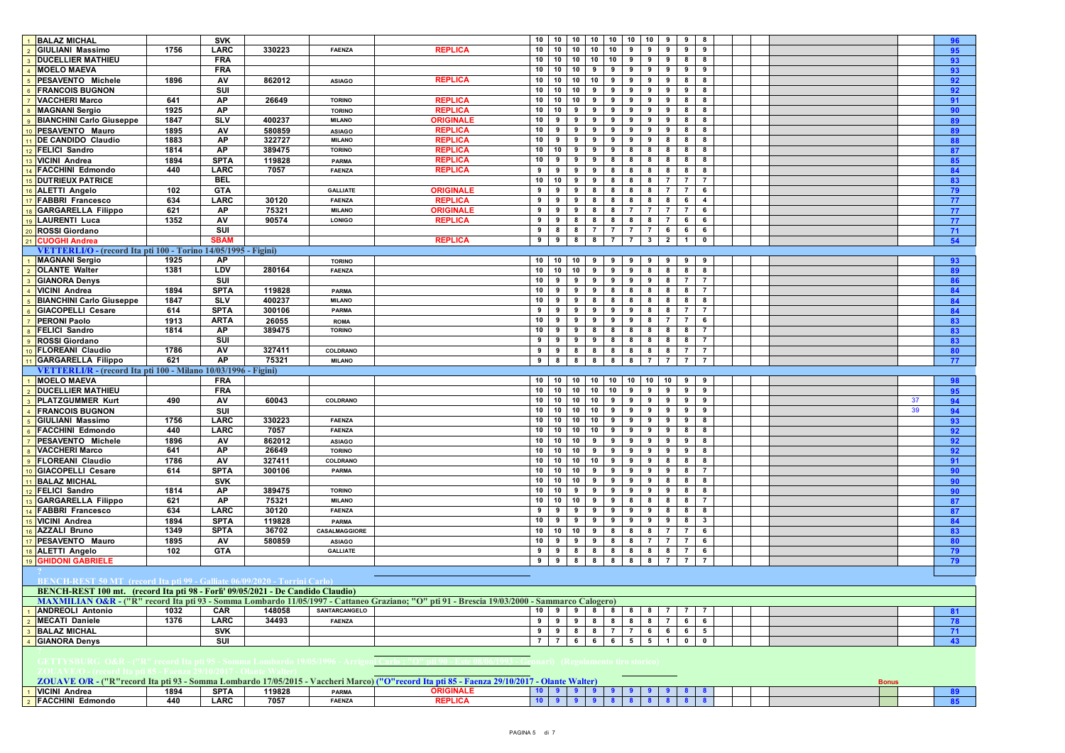| 1 BALAZ MICHAL                                                                  |      | <b>SVK</b>                 |        |                                  |                                                                                                                                                                   | 10<br>$10$ 10<br>10 10 10<br>10<br>9<br>9<br>8<br>96                                                                                                                                    |
|---------------------------------------------------------------------------------|------|----------------------------|--------|----------------------------------|-------------------------------------------------------------------------------------------------------------------------------------------------------------------|-----------------------------------------------------------------------------------------------------------------------------------------------------------------------------------------|
| GIULIANI Massimo                                                                | 1756 | LARC                       | 330223 | FAENZA                           | <b>REPLICA</b>                                                                                                                                                    | 10<br>$10$ 10<br>10<br>10<br>95<br>9<br>9<br>9<br>9<br>9                                                                                                                                |
| 3 DUCELLIER MATHIEU                                                             |      | <b>FRA</b>                 |        |                                  |                                                                                                                                                                   | 10<br>10<br>10 10 10 9<br>9<br>9<br>8<br>-8<br>93                                                                                                                                       |
| 4 MOELO MAEVA                                                                   |      | <b>FRA</b>                 |        |                                  |                                                                                                                                                                   | 10<br>10<br>10<br>9<br>9<br>9<br>9<br>9<br>9<br>9<br>93                                                                                                                                 |
| PESAVENTO Michele                                                               | 1896 | AV                         | 862012 | <b>ASIAGO</b>                    | <b>REPLICA</b>                                                                                                                                                    | $10$ 10<br>10<br>10 <sub>1</sub><br>$\overline{\phantom{a}}$<br>9<br>9<br>9<br>8<br>8<br>92                                                                                             |
| <b>FRANCOIS BUGNON</b>                                                          |      | SUI                        |        |                                  |                                                                                                                                                                   | 10<br>10 10 9 9 9 9 9 9<br>9<br>92<br>8                                                                                                                                                 |
| <b>VACCHERI Marco</b>                                                           | 641  | AP                         | 26649  | <b>TORINO</b>                    | <b>REPLICA</b>                                                                                                                                                    | 10 <sup>1</sup><br>10 10<br>$9 \mid 9$<br>9<br>9 <sup>1</sup><br>9<br>8<br>-8<br>91                                                                                                     |
| 8 MAGNANI Sergio                                                                | 1925 | AP                         |        | <b>TORINO</b>                    | <b>REPLICA</b>                                                                                                                                                    | 10<br>10 <sup>1</sup><br>9<br>9<br>9<br>90<br>9<br>9<br>9<br>8<br>8                                                                                                                     |
| <b>BIANCHINI Carlo Giuseppe</b>                                                 | 1847 | s <sub>IV</sub>            | 400237 | <b>MILANO</b>                    | <b>ORIGINALE</b>                                                                                                                                                  | 10<br>$\bullet$<br>۰<br>$\overline{\phantom{a}}$<br>9<br>$\overline{\phantom{a}}$<br>$\overline{\phantom{a}}$<br>9<br>$\overline{\mathbf{8}}$<br>89<br>-8                               |
| 0 PESAVENTO Mauro                                                               | 1895 | AV                         | 580859 | <b>ASIAGO</b>                    | <b>REPLICA</b>                                                                                                                                                    | 10<br>9<br>9<br>9<br>9<br>9<br>9<br>9<br>8<br>8<br>89                                                                                                                                   |
| 11 DE CANDIDO Claudio                                                           | 1883 | AP                         | 322727 | <b>MILANO</b>                    | <b>REPLICA</b>                                                                                                                                                    | 10<br>9<br>$\overline{\phantom{a}}$<br>9<br>9<br>9<br>9<br>8<br>8<br>88<br>8                                                                                                            |
| 12 FELICI Sandro                                                                | 1814 | AP                         | 389475 | <b>TORINO</b>                    | <b>REPLICA</b>                                                                                                                                                    | 10<br>10 <sup>1</sup><br>9<br>$9 \mid 9$<br>8<br>8<br>8 <sup>1</sup><br>8<br>87<br>8                                                                                                    |
| 13 VICINI Andrea                                                                | 1894 | <b>SPTA</b>                | 119828 | <b>PARMA</b>                     | <b>REPLICA</b>                                                                                                                                                    | 10<br>85<br>9<br>9<br>9<br>8<br>8<br>8 <sup>2</sup><br>8<br>8 <sub>1</sub><br>8                                                                                                         |
| 14 FACCHINI Edmondo                                                             | 440  | LARC                       | 7057   | <b>FAENZA</b>                    | <b>REPLICA</b>                                                                                                                                                    | 9<br>9<br>9<br>9 8 8<br>8<br>8<br>84<br>8<br>-8                                                                                                                                         |
| 15 DUTRIEUX PATRICE                                                             |      | <b>BEL</b>                 |        |                                  |                                                                                                                                                                   | 10<br>10 <sup>1</sup><br>9<br>988<br>83<br>8<br>$\overline{7}$<br>$\mathbf{7}$<br>$\overline{7}$                                                                                        |
| 16 ALETTI Angelo                                                                | 102  | <b>GTA</b>                 |        | <b>GALLIATE</b>                  | <b>ORIGINALE</b>                                                                                                                                                  | 9<br>9<br>9<br>8 8 8 8<br>8 7<br>79<br>$\overline{7}$<br>6                                                                                                                              |
| 17 FABBRI Francesco                                                             | 634  | <b>LARC</b>                | 30120  | <b>FAENZA</b>                    | <b>REPLICA</b>                                                                                                                                                    | 9<br>91<br>9 8 8 8 8 8 8 1<br>6<br>$\overline{4}$<br>77                                                                                                                                 |
| 18 GARGARELLA Filippo                                                           | 621  | AP                         | 75321  | <b>MILANO</b>                    | <b>ORIGINALE</b>                                                                                                                                                  | 9<br>9<br>9<br>8<br>8<br>$\overline{7}$<br>$\overline{7}$<br>$\overline{7}$<br>$\overline{7}$<br>6<br>77                                                                                |
| 19 LAURENTI Luca                                                                | 1352 | AV                         | 90574  | <b>LONIGO</b>                    | <b>REPLICA</b>                                                                                                                                                    | 8<br>8 <sup>2</sup><br>9<br>9<br>8<br>8<br>8<br>$\overline{7}$<br>6<br>6<br>77                                                                                                          |
| 20 ROSSI Giordano                                                               |      | SUI                        |        |                                  |                                                                                                                                                                   | 9<br>8<br>8 7 7 7 7 6<br>6<br>6<br>71                                                                                                                                                   |
| 21 CUOGHI Andrea                                                                |      | <b>SBAM</b>                |        |                                  | <b>REPLICA</b>                                                                                                                                                    | 54<br>9<br>9 <sup>1</sup><br>8 8 7 7 3 2<br>$1$ 0                                                                                                                                       |
| VETTERLI/O - (record Ita pti 100 - Torino 14/05/1995 - Figini)                  |      |                            |        |                                  |                                                                                                                                                                   |                                                                                                                                                                                         |
| <b>MAGNANI Sergio</b>                                                           | 1925 | <b>AP</b>                  |        | <b>TORINO</b>                    |                                                                                                                                                                   | 10 10<br>10<br>999<br>9<br>9<br>9<br>9<br>93                                                                                                                                            |
| <b>OLANTE Walter</b>                                                            | 1381 | LDV                        | 280164 | <b>FAENZA</b>                    |                                                                                                                                                                   | 10<br>$10$ 10<br>99<br>9<br>8<br>$\bf{8}$<br>8<br>8<br>89                                                                                                                               |
| <b>GIANORA Denys</b>                                                            |      | $\overline{\mathsf{s}}$    |        |                                  |                                                                                                                                                                   | 10<br>9 <sub>1</sub><br>9 9 9 9 9 9 8 7<br>$\overline{7}$<br>86                                                                                                                         |
| 4 VICINI Andrea                                                                 | 1894 | <b>SPTA</b>                | 119828 | PARMA                            |                                                                                                                                                                   | 10<br>$8$ 8<br>$8 \overline{\smash{\big)}\ 8}$<br>9<br>9<br>9<br>8<br>$\overline{7}$<br>84                                                                                              |
| <b>BIANCHINI Carlo Giuseppe</b>                                                 | 1847 | <b>SLV</b>                 | 400237 | <b>MILANO</b>                    |                                                                                                                                                                   | 10<br>9<br>9<br>$8 \quad 8$<br>8<br>8<br>84<br>8 <sup>1</sup><br>8<br>8                                                                                                                 |
| GIACOPELLI Cesare                                                               | 614  | <b>SPTA</b>                | 300106 | PARMA                            |                                                                                                                                                                   | 84<br>9<br>9 <sup>1</sup><br>9<br>9<br>9<br>9 <sup>1</sup><br>7 <sup>1</sup><br>8<br>8 <sup>2</sup><br>$\overline{7}$                                                                   |
| <b>PERONI Paolo</b>                                                             | 1913 | <b>ARTA</b>                | 26055  | <b>ROMA</b>                      |                                                                                                                                                                   | 10 <sup>1</sup><br>9 <sub>1</sub><br>9 9 9 1<br>9 8 7<br>$\overline{7}$<br>83<br>6                                                                                                      |
| <b>FELICI Sandro</b>                                                            | 1814 | AP                         | 389475 | <b>TORINO</b>                    |                                                                                                                                                                   | 10<br>9 <sup>1</sup><br>8 8 8 8<br>8 <sup>1</sup><br>9 <sub>1</sub><br>8<br>8<br>$\overline{7}$<br>83                                                                                   |
| <b>ROSSI Giordano</b>                                                           |      | SUI                        |        |                                  |                                                                                                                                                                   | 9<br>9<br>9 8 8 8<br>$8 \mid 8$<br>83<br>9 <sub>1</sub><br>8<br>$\overline{7}$                                                                                                          |
| <b>FLOREANI Claudio</b>                                                         | 1786 | AV                         | 327411 | COLDRANO                         |                                                                                                                                                                   | 888<br>80<br>9<br>9 <sub>1</sub><br>8<br>8<br>8 <sub>1</sub><br>$\overline{7}$<br>$\overline{7}$                                                                                        |
| 11 GARGARELLA Filippo                                                           | 621  | AP                         | 75321  | <b>MILANO</b>                    |                                                                                                                                                                   | 8 8 8 8<br>9<br>8<br>7 7<br>$\overline{7}$<br>$\overline{7}$<br>77                                                                                                                      |
| VETTERLI/R - (record Ita pti 100 - Milano 10/03/1996 - Figini)                  |      |                            |        |                                  |                                                                                                                                                                   |                                                                                                                                                                                         |
| <b>MOELO MAEVA</b>                                                              |      | <b>FRA</b>                 |        |                                  |                                                                                                                                                                   | 10 10 10 10 10 10 10 10<br>10<br>9<br>98<br>9                                                                                                                                           |
| <b>DUCELLIER MATHIEU</b>                                                        |      | <b>FRA</b>                 |        |                                  |                                                                                                                                                                   | $10$ 10 10 10 9<br>10<br>$9 \t9$<br>9<br>95<br>9                                                                                                                                        |
| 3 PLATZGUMMER Kurt                                                              | 490  | AV                         | 60043  | COLDRANO                         |                                                                                                                                                                   | 10<br>10 10 10 9 9<br>99<br>$9 \mid 9$<br>37<br>94                                                                                                                                      |
| 4 FRANCOIS BUGNON                                                               |      | <b>SUI</b>                 |        |                                  |                                                                                                                                                                   | 10 10<br>$10 \quad 9 \quad 9$<br>94<br>10<br>9<br>9<br>9<br>9<br>39                                                                                                                     |
| GIULIANI Massimo                                                                | 1756 | LARC                       | 330223 | <b>FAENZA</b>                    |                                                                                                                                                                   | 10<br>10 10 10 9<br>9 <sup>1</sup><br>93<br>9<br>9<br>9<br>8                                                                                                                            |
| <b>FACCHINI Edmondo</b>                                                         | 440  | <b>LARC</b>                | 7057   | <b>FAENZA</b>                    |                                                                                                                                                                   | 10<br>10 10 10 9 9 9 9 9<br>8 8<br>92                                                                                                                                                   |
| 7 PESAVENTO Michele                                                             | 1896 | <b>AV</b>                  | 862012 |                                  |                                                                                                                                                                   | $10$ 10<br>$\overline{\bullet}$<br>$9 \mid 9$<br>10<br>9<br>9<br>8<br>9<br>92                                                                                                           |
| 8 VACCHERI Marco                                                                | 641  | <b>AP</b>                  | 26649  | <b>ASIAGO</b><br><b>TORINO</b>   |                                                                                                                                                                   | 10<br>10 10 9 9 9<br>99<br>9<br>$\overline{\mathbf{8}}$<br>92                                                                                                                           |
| <b>9</b> FLOREANI Claudio                                                       | 1786 | AV                         | 327411 | COLDRANO                         |                                                                                                                                                                   | 10 10 10 9<br>10<br>9 <sup>1</sup><br>9<br>8<br>91<br>8<br>8                                                                                                                            |
| 10 GIACOPELLI Cesare                                                            | 614  | <b>SPTA</b>                | 300106 | <b>PARMA</b>                     |                                                                                                                                                                   | 10<br>10 10 9 9 9<br>9<br>9<br>8<br>$\overline{7}$                                                                                                                                      |
| 11 BALAZ MICHAL                                                                 |      | <b>SVK</b>                 |        |                                  |                                                                                                                                                                   | 90<br>$10$ 10<br>10<br>9<br>9<br>9<br>90<br>9<br>8<br>8<br>8                                                                                                                            |
| 12 FELICI Sandro                                                                | 1814 | AP                         | 389475 | <b>TORINO</b>                    |                                                                                                                                                                   | 10<br>$10$ 9<br>$9 \t9$<br>9 <sup>1</sup><br>$9 \t9$<br>90<br>8 8                                                                                                                       |
| 13 GARGARELLA Filippo                                                           | 621  | AP                         | 75321  | <b>MILANO</b>                    |                                                                                                                                                                   | 10<br>$10$ $10$ $9$<br>9<br>8<br>8<br>87<br>8<br>8 <sub>1</sub><br>$\overline{7}$                                                                                                       |
| 14 FABBRI Francesco                                                             | 634  | <b>LARC</b>                | 30120  | <b>FAENZA</b>                    |                                                                                                                                                                   | 9<br>9<br>9<br>9<br>99<br>9 8<br>8<br>8                                                                                                                                                 |
|                                                                                 | 1894 |                            | 119828 |                                  |                                                                                                                                                                   | 87<br>10<br>9<br>84<br>9<br>9<br>9<br>9<br>9<br>9<br>8<br>$\mathbf{3}$                                                                                                                  |
| 15 VICINI Andrea<br>16 AZZALI Bruno                                             | 1349 | <b>SPTA</b><br><b>SPTA</b> | 36702  | <b>PARMA</b><br>CASALMAGGIORE    |                                                                                                                                                                   | 10<br>$10$ 10<br>9<br>8<br>8<br>8<br>$\overline{7}$<br>$\overline{7}$<br>6<br>83                                                                                                        |
|                                                                                 | 1895 |                            | 580859 |                                  |                                                                                                                                                                   | 10<br>9 <sub>1</sub><br>9 9 8 8 7 7<br>$\overline{7}$<br>80<br>6                                                                                                                        |
| 17 PESAVENTO Mauro                                                              |      | <b>AV</b>                  |        | <b>ASIAGO</b><br><b>GALLIATE</b> |                                                                                                                                                                   | $9 \t8$<br>8 8<br>7 <sup>1</sup><br>6                                                                                                                                                   |
| 18 ALETTI Angelo                                                                |      |                            |        |                                  |                                                                                                                                                                   | 8 8 8<br>9<br>79                                                                                                                                                                        |
| 19 GHIDONI GABRIELE                                                             | 102  | <b>GTA</b>                 |        |                                  |                                                                                                                                                                   |                                                                                                                                                                                         |
|                                                                                 |      |                            |        |                                  |                                                                                                                                                                   | 9<br>9 <sub>1</sub><br>8<br>8 8 8 1<br>8 7<br>$\overline{7}$<br>79<br>$\overline{7}$                                                                                                    |
| BENCH-REST 50 MT (record Ita pti 99 - Galliate 06/09/2020 - Torrini Carlo       |      |                            |        |                                  |                                                                                                                                                                   |                                                                                                                                                                                         |
| BENCH-REST 100 mt. (record Ita pti 98 - Forli' 09/05/2021 - De Candido Claudio) |      |                            |        |                                  |                                                                                                                                                                   |                                                                                                                                                                                         |
|                                                                                 |      |                            |        |                                  | MAXMILIAN O&R - ("R" record Ita pti 93 - Somma Lombardo 11/05/1997 - Cattaneo Graziano; "O" pti 91 - Brescia 19/03/2000 - Sammarco Calogero)                      |                                                                                                                                                                                         |
| <b>ANDREOLI Antonio</b>                                                         | 1032 | CAR                        | 148058 | SANTARCANGELO                    |                                                                                                                                                                   | 10 9 9 8 8 8 8 7<br>81<br>$\mathbf{7}$                                                                                                                                                  |
| MECATI Daniele                                                                  | 1376 | LARC                       | 34493  | <b>FAENZA</b>                    |                                                                                                                                                                   | 9 9 8 8 8 8 8 7<br>9<br>6 6<br>78                                                                                                                                                       |
| <b>BALAZ MICHAL</b>                                                             |      | <b>SVK</b>                 |        |                                  |                                                                                                                                                                   | 9<br>8<br>8 7 7 6 6<br>9 <sub>1</sub><br>6 5<br>71                                                                                                                                      |
| <b>GIANORA Denys</b>                                                            |      | SUI                        |        |                                  |                                                                                                                                                                   | $\overline{7}$<br>7 6 6 6 5 5 1<br>43<br>$0$ 0                                                                                                                                          |
| GETTYSBURG O&R - ("R" record Ita pti 95 - Somma Lombardo 19/05/1996 - Arrig     |      |                            |        |                                  |                                                                                                                                                                   | nari) (Regolamento tiro storico)                                                                                                                                                        |
| OUAVE/O - (record Ita nti 85 - Faenza 29/10/2017 - Olante Wa                    |      |                            |        |                                  |                                                                                                                                                                   |                                                                                                                                                                                         |
| 1 VICINI Andrea                                                                 | 1894 | SPTA                       | 119828 | <b>PARMA</b>                     | ZOUAVE O/R - ("R" record Ita pti 93 - Somma Lombardo 17/05/2015 - Vaccheri Marco) ("O" record Ita pti 85 - Faenza 29/10/2017 - Olante Walter)<br><b>ORIGINALE</b> | <b>Bonus</b><br>99999<br>$\begin{array}{c c c c c c c c} \hline \textbf{10} & \textbf{9} & \textbf{9} & \textbf{9} \end{array}$<br>8 <sub>1</sub><br>$\overline{\mathbf{8}}$<br>89<br>9 |

**FACCHINI Edmondo 440 LARC 7057 FAENZA REPLICA 10 9 9 9 8 8 8 8 8 8 85** KRALI CEK Pet r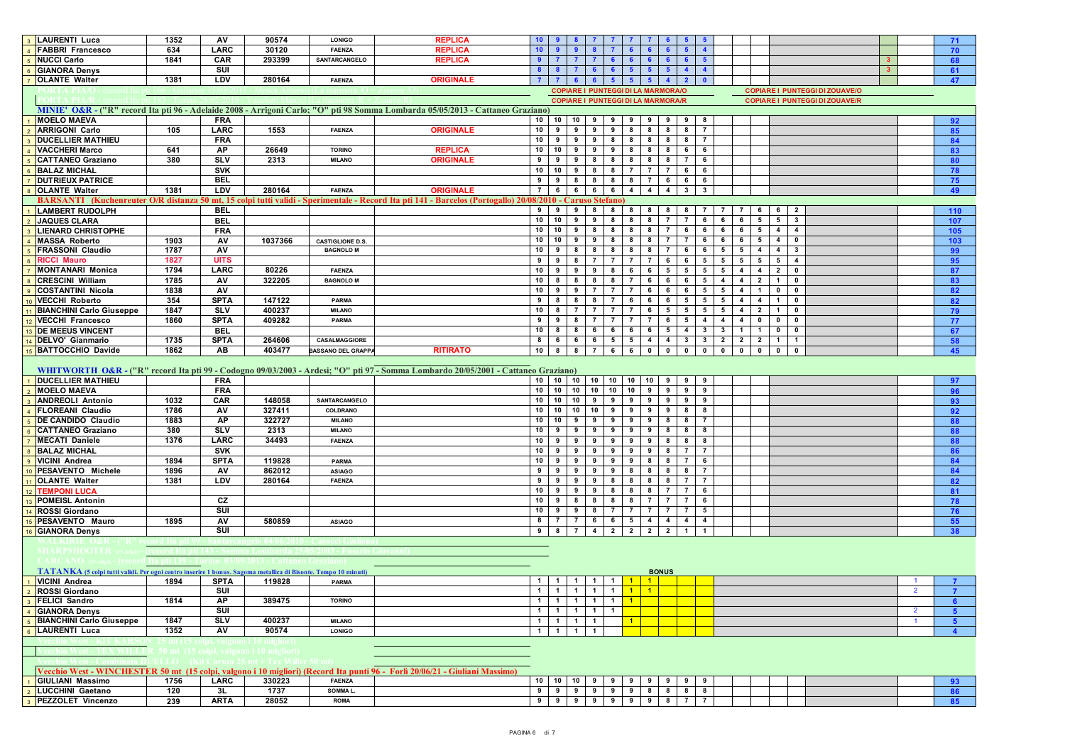| 3 LAURENTI Luca                                                                                                | 1352        | AV                      | 90574                                              | <b>LONIGO</b>             | <b>REPLICA</b>                                                                                                                                            | 10 <sup>1</sup>           |                 |                   |                 |                              |                |                                           |                     |                 |                                      |                                       |                         |                         |                |                         |                                       |  |                | 71             |
|----------------------------------------------------------------------------------------------------------------|-------------|-------------------------|----------------------------------------------------|---------------------------|-----------------------------------------------------------------------------------------------------------------------------------------------------------|---------------------------|-----------------|-------------------|-----------------|------------------------------|----------------|-------------------------------------------|---------------------|-----------------|--------------------------------------|---------------------------------------|-------------------------|-------------------------|----------------|-------------------------|---------------------------------------|--|----------------|----------------|
| <b>FABBRI Francesco</b><br>$\overline{4}$                                                                      | 634         | LARC                    | 30120                                              | <b>FAENZA</b>             | <b>REPLICA</b>                                                                                                                                            | 10 <sub>1</sub>           |                 |                   |                 |                              |                |                                           |                     |                 |                                      |                                       |                         |                         |                |                         |                                       |  |                | 70             |
| 5 NUCCI Carlo                                                                                                  | 1841        | <b>CAR</b>              | 293399                                             | <b>SANTARCANGELO</b>      | <b>REPLICA</b>                                                                                                                                            | 9                         | $\mathbf{7}$    |                   |                 | 6                            |                |                                           |                     | 6.              | $\sqrt{5}$                           |                                       |                         |                         |                |                         |                                       |  |                | 68             |
| 6 GIANORA Denys                                                                                                |             | SUI                     |                                                    |                           |                                                                                                                                                           | 8                         | -8              |                   | 6               |                              |                |                                           |                     |                 | $\blacktriangle$<br>$\blacktriangle$ |                                       |                         |                         |                |                         |                                       |  |                | 61             |
| 7 OLANTE Walter                                                                                                | 1381        | LDV                     | 280164                                             | <b>FAENZA</b>             | <b>ORIGINALE</b>                                                                                                                                          |                           | $\overline{7}$  |                   | 6 <sup>1</sup>  |                              |                |                                           |                     |                 | $\mathbf{0}$                         |                                       |                         |                         |                |                         |                                       |  |                | 47             |
|                                                                                                                |             |                         |                                                    |                           |                                                                                                                                                           |                           |                 |                   |                 |                              |                | <b>COPIARE I PUNTEGGI DI LA MARMORA/O</b> |                     |                 |                                      |                                       |                         |                         |                |                         | <b>COPIARE I PUNTEGGI DI ZOUAVE/O</b> |  |                |                |
|                                                                                                                |             |                         |                                                    |                           |                                                                                                                                                           |                           |                 |                   |                 |                              |                | <b>COPIARE I PUNTEGGI DI LA MARMORA/R</b> |                     |                 |                                      |                                       |                         |                         |                |                         | <b>COPIARE I PUNTEGGI DI ZOUAVE/R</b> |  |                |                |
|                                                                                                                |             |                         |                                                    |                           | MINIE' O&R - ("R" record Ita pti 96 - Adelaide 2008 - Arrigoni Carlo; "O" pti 98 Somma Lombarda 05/05/2013 - Cattaneo Graziano)                           |                           |                 |                   |                 |                              |                |                                           |                     |                 |                                      |                                       |                         |                         |                |                         |                                       |  |                |                |
| <b>MOELO MAEVA</b>                                                                                             |             | <b>FRA</b>              |                                                    |                           |                                                                                                                                                           | 10                        | 10              | 10                | 9               |                              |                |                                           |                     |                 |                                      |                                       |                         |                         |                |                         |                                       |  |                | 92             |
| 2 ARRIGONI Carlo                                                                                               | 105         | LARC                    | 1553                                               | <b>FAENZA</b>             | <b>ORIGINALE</b>                                                                                                                                          | 10                        | 9               | 9                 | 9               | 9                            | 8              | 8                                         |                     | 8               | 8<br>$\overline{7}$                  |                                       |                         |                         |                |                         |                                       |  |                | 85             |
| <b>DUCELLIER MATHIEU</b>                                                                                       |             | <b>FRA</b>              |                                                    |                           |                                                                                                                                                           | 10                        | 9               | 9                 |                 | 98                           | 8              |                                           | 8 8                 |                 | 8 7                                  |                                       |                         |                         |                |                         |                                       |  |                | 84             |
| 4 VACCHERI Marco                                                                                               | 641         | AP                      | 26649                                              | <b>TORINO</b>             | <b>REPLICA</b>                                                                                                                                            | 10                        | 10              | 9                 |                 | $9 \mid 9$                   | 8              |                                           | 8 8                 |                 | $6\overline{6}$<br>6                 |                                       |                         |                         |                |                         |                                       |  |                | 83             |
| 5 CATTANEO Graziano                                                                                            | 380         | <b>SLV</b>              | 2313                                               | <b>MILANO</b>             | <b>ORIGINALE</b>                                                                                                                                          | 9                         | 9               | 9                 | 8               | 8                            | 8              | 8                                         | 8                   |                 | $\overline{7}$<br>6                  |                                       |                         |                         |                |                         |                                       |  |                | 80             |
| 6 BALAZ MICHAL                                                                                                 |             | <b>SVK</b>              |                                                    |                           |                                                                                                                                                           | 10                        | 10              | 9                 |                 | $8 \mid 8$                   | $\overline{7}$ | - 7 - 1                                   | $\overline{7}$      |                 | 6<br>6                               |                                       |                         |                         |                |                         |                                       |  |                | 78             |
| 7 DUTRIEUX PATRICE                                                                                             |             | <b>BEL</b>              |                                                    |                           |                                                                                                                                                           | 9                         | 9               | 8                 | 8               | 8                            | 8 <sup>1</sup> | 7 <sup>1</sup>                            |                     | 6               | 6<br>6                               |                                       |                         |                         |                |                         |                                       |  |                | 75             |
| 8 OLANTE Walter                                                                                                | 1381        | LDV                     | 280164                                             | <b>FAENZA</b>             | <b>ORIGINALE</b>                                                                                                                                          | $\overline{7}$            | 6               | 6                 | $6-1$           | 6                            | $\overline{4}$ |                                           | 4<br>$\overline{4}$ |                 | $3^{\circ}$<br>$\mathbf{3}$          |                                       |                         |                         |                |                         |                                       |  |                | 49             |
|                                                                                                                |             |                         |                                                    |                           | BARSANTI (Kuchenreuter O/R distanza 50 mt, 15 colpi tutti validi - Sperimentale - Record Ita pti 141 - Barcelos (Portogallo) 20/08/2010 - Caruso Stefano) |                           |                 |                   |                 |                              |                |                                           |                     |                 |                                      |                                       |                         |                         |                |                         |                                       |  |                |                |
| 1 LAMBERT RUDOLPH                                                                                              |             | <b>BEL</b>              |                                                    |                           |                                                                                                                                                           |                           |                 | 999               |                 | 88                           | 8              | 8                                         | 8                   |                 |                                      |                                       |                         |                         | 6              |                         |                                       |  |                | 110            |
| 2 JAQUES CLARA                                                                                                 |             | <b>BEL</b>              |                                                    |                           |                                                                                                                                                           | 10 10                     |                 | 9                 | 9               | 8                            | 8              | 8                                         | $\overline{7}$      |                 | $\overline{7}$<br>6                  | 6                                     | 6                       | 5                       | $5^{\circ}$    | $\overline{\mathbf{3}}$ |                                       |  |                | 107            |
| 3  LIENARD CHRISTOPHE                                                                                          |             | <b>FRA</b>              |                                                    |                           |                                                                                                                                                           | 10                        | 10              | 9                 | 8               | 8                            | 8              | 8                                         | $\overline{7}$      |                 | 6<br>6                               | 6                                     | 6                       | 5                       | $\overline{4}$ | $\overline{4}$          |                                       |  |                | 105            |
| 4 MASSA Roberto                                                                                                | 1903        | AV                      | 1037366                                            | <b>CASTIGLIONE D.S.</b>   |                                                                                                                                                           | 10                        | 10              | 9                 | 9               | 8                            | 8              | 8                                         | 7                   |                 | $\mathbf{7}$<br>6                    | 6                                     | 6                       | 5                       | 4              | $\bullet$               |                                       |  |                | 103            |
| <b>FRASSONI Claudio</b>                                                                                        | 1787        | AV                      |                                                    | <b>BAGNOLO M</b>          |                                                                                                                                                           | 10                        | 9               | 8                 | 8               | 8                            | 8              | 8                                         | $\overline{7}$      |                 | 6<br>6                               | 5                                     | 5                       | $\overline{4}$          | $\overline{4}$ | $\mathbf{3}$            |                                       |  |                | 99             |
| 6 RICCI Mauro                                                                                                  | 1827        | <b>UITS</b>             |                                                    |                           |                                                                                                                                                           | 9                         | 9               | 8                 | $\overline{7}$  | $\overline{7}$               | $\overline{7}$ | $\mathbf{7}$                              |                     | 6               | 6<br>5                               | 5                                     | $5^{\circ}$             | - 5                     | 5              | $\overline{4}$          |                                       |  |                | 95             |
| 7 MONTANARI Monica                                                                                             | 1794        | LARC                    | 80226                                              | <b>FAENZA</b>             |                                                                                                                                                           | 10                        | 9               | 9                 | 9               | 8                            | 6              | 6                                         | 5                   |                 | $5^{\circ}$<br>5                     | 5                                     | $\overline{4}$          | 4                       | $\overline{2}$ | $\mathbf 0$             |                                       |  |                |                |
| <b>CRESCINI William</b>                                                                                        | 1785        | AV                      | 322205                                             | <b>BAGNOLO M</b>          |                                                                                                                                                           | 10                        | 8               |                   | 8               |                              |                | 6                                         |                     |                 |                                      |                                       |                         |                         |                |                         |                                       |  |                | 87             |
|                                                                                                                |             |                         |                                                    |                           |                                                                                                                                                           |                           |                 | 8                 |                 | 8                            | $\mathbf{7}$   |                                           | 6                   |                 | 6                                    | 5<br>$\overline{4}$                   | $\overline{4}$          | $\overline{2}$          | $\mathbf{1}$   | $\mathbf{0}$            |                                       |  |                | 83             |
| COSTANTINI Nicola                                                                                              | 1838        | AV                      |                                                    |                           |                                                                                                                                                           | 10                        | 9               | 9                 | 7               | $\overline{7}$               |                | 6                                         | 6                   |                 | 5<br>6                               | 5                                     | $\overline{4}$          |                         | $\mathbf 0$    | $\mathbf{0}$            |                                       |  |                | 82             |
| 10 VECCHI Roberto                                                                                              | 354         | <b>SPTA</b>             | 147122                                             | <b>PARMA</b>              |                                                                                                                                                           | 9                         | 8               |                   | 8               |                              | 6              | 6                                         | 6                   |                 | $5^{\circ}$<br>5                     | 5                                     | $\overline{4}$          | 4                       | -1             | $\mathbf 0$             |                                       |  |                | 82             |
| <b>BIANCHINI Carlo Giuseppe</b>                                                                                | 1847        | <b>SLV</b>              | 400237                                             | <b>MILANO</b>             |                                                                                                                                                           | 10                        | 8               | $\overline{7}$    | $\overline{7}$  | $\overline{7}$               | $\overline{7}$ | 6                                         |                     | $5\overline{5}$ | 5 <sub>5</sub>                       | 5 5                                   | $\overline{4}$          | $\overline{2}$          | $\mathbf{1}$   | $\mathbf{0}$            |                                       |  |                | 79             |
| 12 VECCHI Francesco                                                                                            | 1860        | <b>SPTA</b>             | 409282                                             | PARMA                     |                                                                                                                                                           | 9                         | 9               | - 8               | $\overline{7}$  | $\overline{7}$               | $\overline{7}$ | $\mathbf{7}$                              |                     | 6               | 5<br>$\overline{4}$                  | $\overline{4}$                        | $\overline{4}$          | $\mathbf 0$             | $\mathbf 0$    | $\bullet$               |                                       |  |                | 77             |
| 13 DE MEEUS VINCENT                                                                                            |             | <b>BEL</b>              |                                                    |                           |                                                                                                                                                           | 10                        | 8               | 8                 | 6               | 6                            | 6              | 6                                         | 5                   |                 | $\overline{4}$<br>3                  | $\mathbf{3}$                          | $\mathbf{1}$            | $\overline{1}$          | $\mathbf 0$    | $\mathbf{0}$            |                                       |  |                | 67             |
| 14 DELVO' Gianmario                                                                                            | 1735        | <b>SPTA</b>             | 264606                                             | CASALMAGGIORE             |                                                                                                                                                           | 8                         | 6               | 6                 | 6               | $5^{\circ}$                  | 5 <sub>5</sub> |                                           | 4<br>$\overline{4}$ |                 | 3 <sup>1</sup>                       | $3 \mid 2$                            | $\overline{\mathbf{2}}$ | $\overline{2}$          | $\mathbf{1}$   | $\mathbf{1}$            |                                       |  |                | 58             |
| 15 BATTOCCHIO Davide                                                                                           | 1862        | AB                      | 403477                                             | <b>BASSANO DEL GRAPPA</b> | <b>RITIRATO</b>                                                                                                                                           | 10 8                      |                 | 8                 |                 | $7 \quad 6$                  | 6 <sup>1</sup> | $\overline{\mathbf{0}}$                   | $\bf{0}$            |                 | $\overline{\mathbf{0}}$              | $\overline{\phantom{0}}$<br>$\bullet$ | $\mathbf{0}$            | $\overline{\mathbf{0}}$ | $\mathbf{0}$   | $\bullet$               |                                       |  |                | 45             |
|                                                                                                                |             |                         |                                                    |                           |                                                                                                                                                           |                           |                 |                   |                 |                              |                |                                           |                     |                 |                                      |                                       |                         |                         |                |                         |                                       |  |                |                |
|                                                                                                                |             |                         |                                                    |                           | WHITWORTH O&R - ("R" record Ita pti 99 - Codogno 09/03/2003 - Ardesi; "O" pti 97 - Somma Lombardo 20/05/2001 - Cattaneo Graziano)                         |                           |                 |                   |                 |                              |                |                                           |                     |                 |                                      |                                       |                         |                         |                |                         |                                       |  |                |                |
| 1 DUCELLIER MATHIEU                                                                                            |             | <b>FRA</b>              |                                                    |                           |                                                                                                                                                           | 10 10 10 10 10 10 10 10 9 |                 |                   |                 |                              |                |                                           |                     |                 | 9<br>9                               |                                       |                         |                         |                |                         |                                       |  |                | 97             |
| <b>MOELO MAEVA</b>                                                                                             |             | <b>FRA</b>              |                                                    |                           |                                                                                                                                                           | 10 10 10                  |                 |                   |                 |                              |                | 10 10 10 9 9                              |                     |                 | 9<br>9                               |                                       |                         |                         |                |                         |                                       |  |                | 96             |
| 3 ANDREOLI Antonio                                                                                             | 1032        | CAR                     | 148058                                             | SANTARCANGELO             |                                                                                                                                                           | 10                        | 10 <sup>1</sup> | 10                |                 | $9 \mid 9$                   | 9              |                                           | 9 <sub>1</sub><br>9 |                 | 9 <sup>1</sup><br>9                  |                                       |                         |                         |                |                         |                                       |  |                | 93             |
| 4 <b>FLOREANI</b> Claudio                                                                                      | 1786        | AV                      | 327411                                             | COLDRANO                  |                                                                                                                                                           | 10                        | 10              | 10                | 10 <sup>1</sup> | 9                            | 9              | 9                                         | 9                   |                 | 8<br>8                               |                                       |                         |                         |                |                         |                                       |  |                | 92             |
| <b>DE CANDIDO Claudio</b>                                                                                      | 1883        | AP                      | 322727                                             | <b>MILANO</b>             |                                                                                                                                                           | 10                        | 10              | 9                 | 9               | 9                            | 9              | 9                                         | 8                   |                 | 8<br>$\overline{7}$                  |                                       |                         |                         |                |                         |                                       |  |                | 88             |
| CATTANEO Graziano                                                                                              | 380         | SLV                     | 2313                                               | <b>MILANO</b>             |                                                                                                                                                           | 10                        | 9               | 9                 |                 | 99                           | 9              | 9                                         | 8                   |                 | 8<br>8                               |                                       |                         |                         |                |                         |                                       |  |                | 88             |
| 7 MECATI Daniele                                                                                               | 1376        | LARC                    | 34493                                              | <b>FAENZA</b>             |                                                                                                                                                           | 10                        | 9               | 9                 | 9               | 9                            | 9              | 9                                         | 8                   |                 | 8<br>8                               |                                       |                         |                         |                |                         |                                       |  |                | 88             |
| <b>BALAZ MICHAL</b>                                                                                            |             | <b>SVK</b>              |                                                    |                           |                                                                                                                                                           | 10                        | 9               | 9                 | 9               | 9                            | 9              | 9                                         |                     | 8               | $\mathbf{7}$<br>-7                   |                                       |                         |                         |                |                         |                                       |  |                | 86             |
| 9 VICINI Andrea                                                                                                | 1894        | <b>SPTA</b>             | 119828                                             | PARMA                     |                                                                                                                                                           | 10                        | 9               | 9                 | 9               | 9                            | 9              | 8                                         | 8                   |                 | $\mathbf{7}$<br>6                    |                                       |                         |                         |                |                         |                                       |  |                | 84             |
| 10 PESAVENTO Michele                                                                                           | 1896        | AV                      | 862012                                             | <b>ASIAGO</b>             |                                                                                                                                                           | 9                         | 9               | 9                 | 9               | 9                            | 8              |                                           | 8<br>8              |                 | 8<br>$\overline{7}$                  |                                       |                         |                         |                |                         |                                       |  |                | 84             |
| <b>OLANTE Walter</b>                                                                                           | 1381        | LDV                     | 280164                                             | <b>FAENZA</b>             |                                                                                                                                                           | 9                         | 9               | - 9               | 9               | 8                            | 8              | 8                                         | 8                   |                 | $\overline{7}$<br>$\mathbf{7}$       |                                       |                         |                         |                |                         |                                       |  |                | 82             |
| 12 TEMPONI LUCA                                                                                                |             |                         |                                                    |                           |                                                                                                                                                           | 10                        | 9               | 9                 | 9               | 8                            | 8              | 8                                         |                     | $\mathbf{7}$    | $\overline{7}$<br>6                  |                                       |                         |                         |                |                         |                                       |  |                | 81             |
| <b>POMEISL Antonin</b><br>13                                                                                   |             | <b>CZ</b>               |                                                    |                           |                                                                                                                                                           | 10                        | 9               | 8                 | 8               | 8                            | 8              | $\overline{7}$                            | $\overline{7}$      |                 | $\mathbf{7}$<br>6                    |                                       |                         |                         |                |                         |                                       |  |                | 78             |
| <b>ROSSI Giordano</b><br>14                                                                                    |             | $\overline{\mathsf{S}}$ |                                                    |                           |                                                                                                                                                           | 10                        | 9               | 9                 | 8               | $\overline{7}$               | $\overline{7}$ | $\mathbf{7}$                              | $\overline{7}$      |                 | $\mathbf{7}$<br>5                    |                                       |                         |                         |                |                         |                                       |  |                | 76             |
| 15 PESAVENTO Mauro                                                                                             | 1895        | AV                      | 580859                                             | <b>ASIAGO</b>             |                                                                                                                                                           | 8                         | $\sqrt{7}$      | $\overline{7}$    |                 | 6 6                          | 5 <sub>1</sub> |                                           | $4 \mid 4$          |                 | $\overline{4}$<br>$\overline{4}$     |                                       |                         |                         |                |                         |                                       |  |                | 55             |
| 16 GIANORA Denys                                                                                               |             | SUI                     |                                                    |                           |                                                                                                                                                           | 9                         | 8               | $\overline{7}$    |                 | $4 \mid 2 \mid$              |                | 2 2 2                                     |                     |                 | $\mathbf{1}$<br>$\mathbf{1}$         |                                       |                         |                         |                |                         |                                       |  |                | 38             |
| WALKIRIE OS                                                                                                    |             |                         |                                                    |                           |                                                                                                                                                           |                           |                 |                   |                 |                              |                |                                           |                     |                 |                                      |                                       |                         |                         |                |                         |                                       |  |                |                |
| <b>SHARPSHOOTER</b>                                                                                            |             |                         |                                                    |                           |                                                                                                                                                           |                           |                 |                   |                 |                              |                |                                           |                     |                 |                                      |                                       |                         |                         |                |                         |                                       |  |                |                |
|                                                                                                                |             |                         |                                                    |                           |                                                                                                                                                           |                           |                 |                   |                 |                              |                |                                           |                     |                 |                                      |                                       |                         |                         |                |                         |                                       |  |                |                |
| TATANKA (5 colpi tutti validi. Per ogni centro inserire 1 bonus. Sagoma metallica di Bisonte. Tempo 10 minuti) |             |                         |                                                    |                           |                                                                                                                                                           |                           |                 |                   |                 |                              |                |                                           | <b>BONUS</b>        |                 |                                      |                                       |                         |                         |                |                         |                                       |  |                |                |
| 1 VICINI Andrea                                                                                                | 1894        | <b>SPTA</b>             | 119828                                             | <b>PARMA</b>              |                                                                                                                                                           |                           | $\mathbf{1}$    | $\overline{1}$    | $\mathbf{1}$    | $\mathbf{1}$                 | $\overline{1}$ | $\blacksquare$                            |                     |                 |                                      |                                       |                         |                         |                |                         |                                       |  |                | -7             |
| <b>ROSSI Giordano</b>                                                                                          |             | SUI                     |                                                    |                           |                                                                                                                                                           | 1                         | $\mathbf{1}$    | $\overline{1}$    | $1 \mid$        | $\overline{1}$               | $\blacksquare$ | $\blacksquare$                            |                     |                 |                                      |                                       |                         |                         |                |                         |                                       |  | $\overline{2}$ | $\overline{7}$ |
| 3 FELICI Sandro                                                                                                | 1814        | AP                      | 389475                                             | <b>TORINO</b>             |                                                                                                                                                           |                           |                 |                   |                 | 1 1 1 1 1 1 1 <mark>1</mark> |                |                                           |                     |                 |                                      |                                       |                         |                         |                |                         |                                       |  |                |                |
| 4 GIANORA Denys                                                                                                |             | SUI                     |                                                    |                           |                                                                                                                                                           | 1                         | $\blacksquare$  | $\overline{1}$    |                 | $1$ 1                        |                |                                           |                     |                 |                                      |                                       |                         |                         |                |                         |                                       |  | $\overline{2}$ | $-5$           |
| <b>BIANCHINI Carlo Giuseppe</b>                                                                                | 1847        | <b>SLV</b>              | 400237                                             | <b>MILANO</b>             |                                                                                                                                                           | $\mathbf{1}$              | $\blacksquare$  | $\overline{1}$    | $\mathbf{1}$    |                              | $\blacksquare$ |                                           |                     |                 |                                      |                                       |                         |                         |                |                         |                                       |  |                | $-5$           |
| 6 LAURENTI Luca                                                                                                | 1352        | AV                      | 90574                                              | <b>LONIGO</b>             |                                                                                                                                                           | $\mathbf{1}$              | 1 <sub>1</sub>  | $\vert$ 1 $\vert$ | $\mathbf{1}$    |                              |                |                                           |                     |                 |                                      |                                       |                         |                         |                |                         |                                       |  |                | $\overline{4}$ |
|                                                                                                                | 5 mt (15 co |                         |                                                    |                           |                                                                                                                                                           |                           |                 |                   |                 |                              |                |                                           |                     |                 |                                      |                                       |                         |                         |                |                         |                                       |  |                |                |
|                                                                                                                |             |                         | 50 mt. (15 colni, valgono i 10 migliori).          |                           |                                                                                                                                                           |                           |                 |                   |                 |                              |                |                                           |                     |                 |                                      |                                       |                         |                         |                |                         |                                       |  |                |                |
|                                                                                                                |             |                         | $\text{NLO}$ (Kit Carson 25 mt + Tex Willer 50 mt) |                           |                                                                                                                                                           |                           |                 |                   |                 |                              |                |                                           |                     |                 |                                      |                                       |                         |                         |                |                         |                                       |  |                |                |
|                                                                                                                |             |                         |                                                    |                           | Vecchio West - WINCHESTER 50 mt (15 colpi, valgono i 10 migliori) (Record Ita punti 96 - Forlì 20/06/21 - Giuliani Massimo)                               |                           |                 |                   |                 |                              |                |                                           |                     |                 |                                      |                                       |                         |                         |                |                         |                                       |  |                |                |
| 1 GIULIANI Massimo                                                                                             | 1756        | LARC                    | 330223                                             | <b>FAENZA</b>             |                                                                                                                                                           |                           |                 |                   |                 |                              |                | 10 10 10 9 9 9 9 9 9 9                    |                     |                 | 9                                    |                                       |                         |                         |                |                         |                                       |  |                | 93             |
| 2 LUCCHINI Gaetano                                                                                             | 120         | 3L                      | 1737                                               | SOMMA L.                  |                                                                                                                                                           | 9                         | 9               | 9                 |                 | $9 \mid 9$                   | 9 <sup>1</sup> |                                           | 8 8                 | 8               | 8                                    |                                       |                         |                         |                |                         |                                       |  |                | 86             |
| 3 PEZZOLET Vincenzo                                                                                            | 239         | ARTA                    | 28052                                              | <b>ROMA</b>               |                                                                                                                                                           |                           | 9               | 9                 |                 | 99                           | 9              |                                           | 9 <sub>1</sub><br>8 |                 | $\overline{7}$                       |                                       |                         |                         |                |                         |                                       |  |                | 85             |